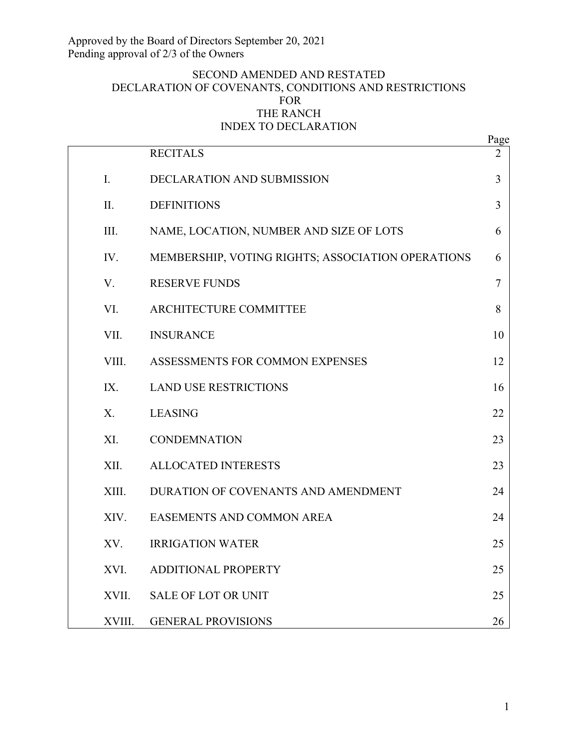# SECOND AMENDED AND RESTATED DECLARATION OF COVENANTS, CONDITIONS AND RESTRICTIONS FOR THE RANCH INDEX TO DECLARATION

|        |                                                   | Page           |
|--------|---------------------------------------------------|----------------|
|        | <b>RECITALS</b>                                   | $\overline{2}$ |
| I.     | DECLARATION AND SUBMISSION                        | 3              |
| II.    | <b>DEFINITIONS</b>                                | $\overline{3}$ |
| III.   | NAME, LOCATION, NUMBER AND SIZE OF LOTS           | 6              |
| IV.    | MEMBERSHIP, VOTING RIGHTS; ASSOCIATION OPERATIONS | 6              |
| V.     | <b>RESERVE FUNDS</b>                              | $\tau$         |
| VI.    | ARCHITECTURE COMMITTEE                            | 8              |
| VII.   | <b>INSURANCE</b>                                  | 10             |
| VIII.  | ASSESSMENTS FOR COMMON EXPENSES                   | 12             |
| IX.    | <b>LAND USE RESTRICTIONS</b>                      | 16             |
| X.     | <b>LEASING</b>                                    | 22             |
| XI.    | <b>CONDEMNATION</b>                               | 23             |
| XII.   | <b>ALLOCATED INTERESTS</b>                        | 23             |
| XIII.  | DURATION OF COVENANTS AND AMENDMENT               | 24             |
| XIV.   | EASEMENTS AND COMMON AREA                         | 24             |
| XV.    | <b>IRRIGATION WATER</b>                           | 25             |
| XVI.   | <b>ADDITIONAL PROPERTY</b>                        | 25             |
| XVII.  | <b>SALE OF LOT OR UNIT</b>                        | 25             |
| XVIII. | <b>GENERAL PROVISIONS</b>                         | 26             |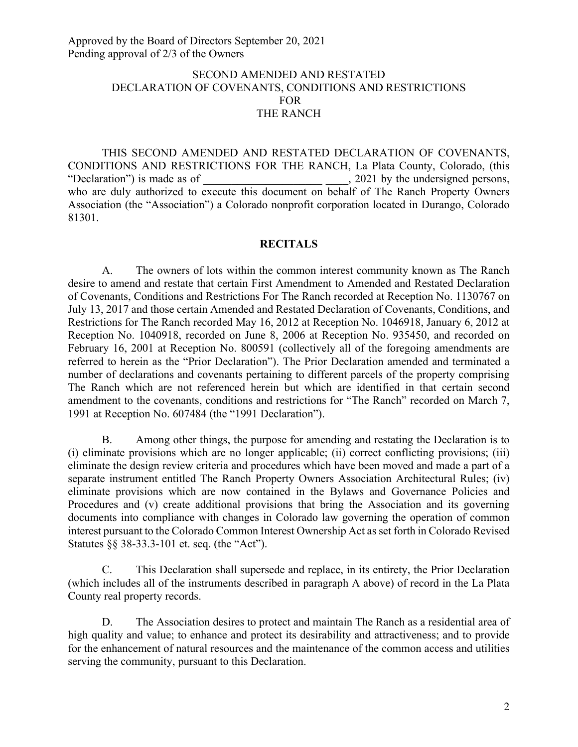# SECOND AMENDED AND RESTATED DECLARATION OF COVENANTS, CONDITIONS AND RESTRICTIONS FOR THE RANCH

THIS SECOND AMENDED AND RESTATED DECLARATION OF COVENANTS, CONDITIONS AND RESTRICTIONS FOR THE RANCH, La Plata County, Colorado, (this "Declaration") is made as of  $\qquad \qquad$  . 2021 by the undersigned persons, who are duly authorized to execute this document on behalf of The Ranch Property Owners Association (the "Association") a Colorado nonprofit corporation located in Durango, Colorado 81301.

# **RECITALS**

A. The owners of lots within the common interest community known as The Ranch desire to amend and restate that certain First Amendment to Amended and Restated Declaration of Covenants, Conditions and Restrictions For The Ranch recorded at Reception No. 1130767 on July 13, 2017 and those certain Amended and Restated Declaration of Covenants, Conditions, and Restrictions for The Ranch recorded May 16, 2012 at Reception No. 1046918, January 6, 2012 at Reception No. 1040918, recorded on June 8, 2006 at Reception No. 935450, and recorded on February 16, 2001 at Reception No. 800591 (collectively all of the foregoing amendments are referred to herein as the "Prior Declaration"). The Prior Declaration amended and terminated a number of declarations and covenants pertaining to different parcels of the property comprising The Ranch which are not referenced herein but which are identified in that certain second amendment to the covenants, conditions and restrictions for "The Ranch" recorded on March 7, 1991 at Reception No. 607484 (the "1991 Declaration").

B. Among other things, the purpose for amending and restating the Declaration is to (i) eliminate provisions which are no longer applicable; (ii) correct conflicting provisions; (iii) eliminate the design review criteria and procedures which have been moved and made a part of a separate instrument entitled The Ranch Property Owners Association Architectural Rules; (iv) eliminate provisions which are now contained in the Bylaws and Governance Policies and Procedures and (v) create additional provisions that bring the Association and its governing documents into compliance with changes in Colorado law governing the operation of common interest pursuant to the Colorado Common Interest Ownership Act as set forth in Colorado Revised Statutes §§ 38-33.3-101 et. seq. (the "Act").

C. This Declaration shall supersede and replace, in its entirety, the Prior Declaration (which includes all of the instruments described in paragraph A above) of record in the La Plata County real property records.

D. The Association desires to protect and maintain The Ranch as a residential area of high quality and value; to enhance and protect its desirability and attractiveness; and to provide for the enhancement of natural resources and the maintenance of the common access and utilities serving the community, pursuant to this Declaration.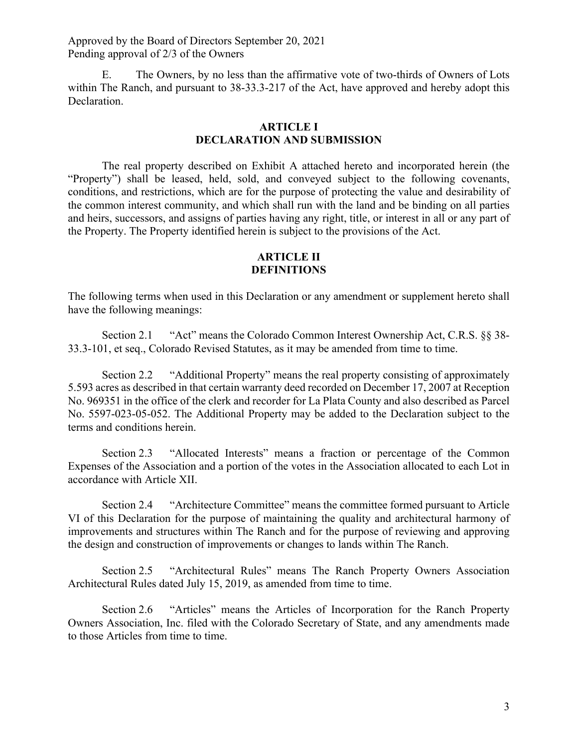E. The Owners, by no less than the affirmative vote of two-thirds of Owners of Lots within The Ranch, and pursuant to 38-33.3-217 of the Act, have approved and hereby adopt this Declaration.

#### **ARTICLE I DECLARATION AND SUBMISSION**

The real property described on Exhibit A attached hereto and incorporated herein (the "Property") shall be leased, held, sold, and conveyed subject to the following covenants, conditions, and restrictions, which are for the purpose of protecting the value and desirability of the common interest community, and which shall run with the land and be binding on all parties and heirs, successors, and assigns of parties having any right, title, or interest in all or any part of the Property. The Property identified herein is subject to the provisions of the Act.

### **ARTICLE II DEFINITIONS**

The following terms when used in this Declaration or any amendment or supplement hereto shall have the following meanings:

Section 2.1 "Act" means the Colorado Common Interest Ownership Act, C.R.S. §§ 38- 33.3-101, et seq., Colorado Revised Statutes, as it may be amended from time to time.

Section 2.2 "Additional Property" means the real property consisting of approximately 5.593 acres as described in that certain warranty deed recorded on December 17, 2007 at Reception No. 969351 in the office of the clerk and recorder for La Plata County and also described as Parcel No. 5597-023-05-052. The Additional Property may be added to the Declaration subject to the terms and conditions herein.

Section 2.3 "Allocated Interests" means a fraction or percentage of the Common Expenses of the Association and a portion of the votes in the Association allocated to each Lot in accordance with Article XII.

Section 2.4 "Architecture Committee" means the committee formed pursuant to Article VI of this Declaration for the purpose of maintaining the quality and architectural harmony of improvements and structures within The Ranch and for the purpose of reviewing and approving the design and construction of improvements or changes to lands within The Ranch.

Section 2.5 "Architectural Rules" means The Ranch Property Owners Association Architectural Rules dated July 15, 2019, as amended from time to time.

Section 2.6 "Articles" means the Articles of Incorporation for the Ranch Property Owners Association, Inc. filed with the Colorado Secretary of State, and any amendments made to those Articles from time to time.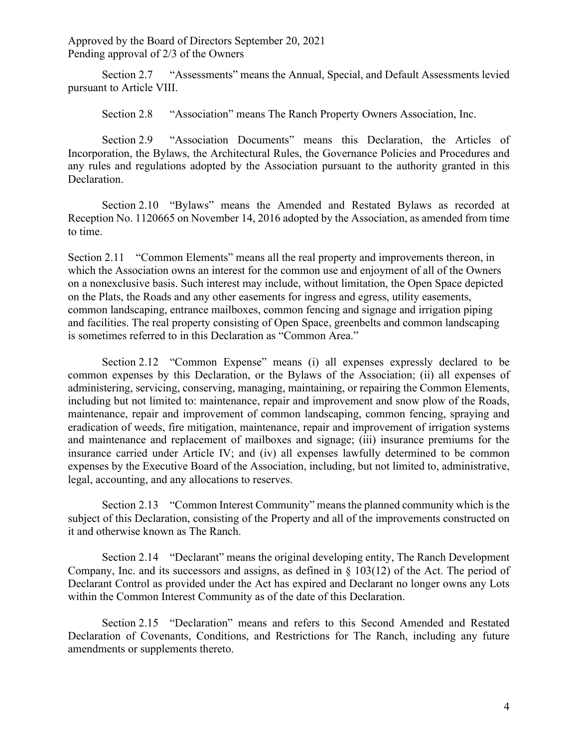Section 2.7 "Assessments" means the Annual, Special, and Default Assessments levied pursuant to Article VIII.

Section 2.8 "Association" means The Ranch Property Owners Association, Inc.

Section 2.9 "Association Documents" means this Declaration, the Articles of Incorporation, the Bylaws, the Architectural Rules, the Governance Policies and Procedures and any rules and regulations adopted by the Association pursuant to the authority granted in this Declaration.

Section 2.10 "Bylaws" means the Amended and Restated Bylaws as recorded at Reception No. 1120665 on November 14, 2016 adopted by the Association, as amended from time to time.

Section 2.11 "Common Elements" means all the real property and improvements thereon, in which the Association owns an interest for the common use and enjoyment of all of the Owners on a nonexclusive basis. Such interest may include, without limitation, the Open Space depicted on the Plats, the Roads and any other easements for ingress and egress, utility easements, common landscaping, entrance mailboxes, common fencing and signage and irrigation piping and facilities. The real property consisting of Open Space, greenbelts and common landscaping is sometimes referred to in this Declaration as "Common Area."

Section 2.12 "Common Expense" means (i) all expenses expressly declared to be common expenses by this Declaration, or the Bylaws of the Association; (ii) all expenses of administering, servicing, conserving, managing, maintaining, or repairing the Common Elements, including but not limited to: maintenance, repair and improvement and snow plow of the Roads, maintenance, repair and improvement of common landscaping, common fencing, spraying and eradication of weeds, fire mitigation, maintenance, repair and improvement of irrigation systems and maintenance and replacement of mailboxes and signage; (iii) insurance premiums for the insurance carried under Article IV; and (iv) all expenses lawfully determined to be common expenses by the Executive Board of the Association, including, but not limited to, administrative, legal, accounting, and any allocations to reserves.

Section 2.13 "Common Interest Community" means the planned community which is the subject of this Declaration, consisting of the Property and all of the improvements constructed on it and otherwise known as The Ranch.

Section 2.14 "Declarant" means the original developing entity, The Ranch Development Company, Inc. and its successors and assigns, as defined in § 103(12) of the Act. The period of Declarant Control as provided under the Act has expired and Declarant no longer owns any Lots within the Common Interest Community as of the date of this Declaration.

Section 2.15 "Declaration" means and refers to this Second Amended and Restated Declaration of Covenants, Conditions, and Restrictions for The Ranch, including any future amendments or supplements thereto.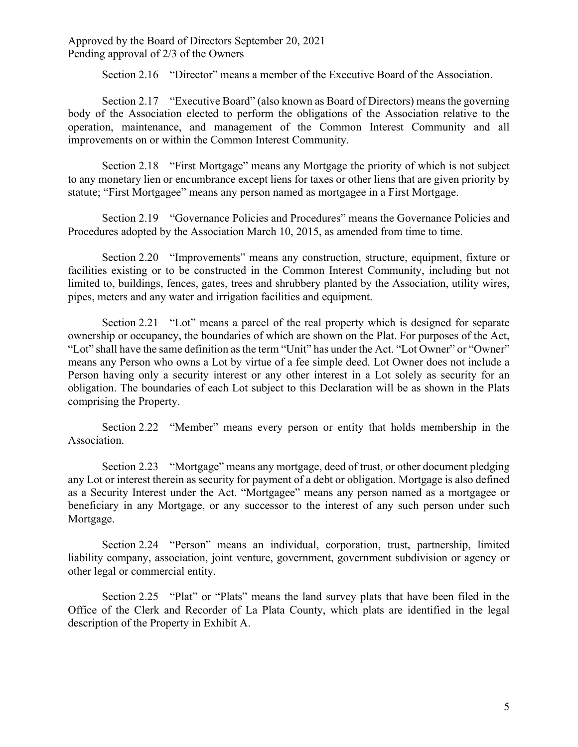Section 2.16 "Director" means a member of the Executive Board of the Association.

Section 2.17 "Executive Board" (also known as Board of Directors) means the governing body of the Association elected to perform the obligations of the Association relative to the operation, maintenance, and management of the Common Interest Community and all improvements on or within the Common Interest Community.

Section 2.18 "First Mortgage" means any Mortgage the priority of which is not subject to any monetary lien or encumbrance except liens for taxes or other liens that are given priority by statute; "First Mortgagee" means any person named as mortgagee in a First Mortgage.

Section 2.19 "Governance Policies and Procedures" means the Governance Policies and Procedures adopted by the Association March 10, 2015, as amended from time to time.

Section 2.20 "Improvements" means any construction, structure, equipment, fixture or facilities existing or to be constructed in the Common Interest Community, including but not limited to, buildings, fences, gates, trees and shrubbery planted by the Association, utility wires, pipes, meters and any water and irrigation facilities and equipment.

Section 2.21 "Lot" means a parcel of the real property which is designed for separate ownership or occupancy, the boundaries of which are shown on the Plat. For purposes of the Act, "Lot" shall have the same definition as the term "Unit" has under the Act. "Lot Owner" or "Owner" means any Person who owns a Lot by virtue of a fee simple deed. Lot Owner does not include a Person having only a security interest or any other interest in a Lot solely as security for an obligation. The boundaries of each Lot subject to this Declaration will be as shown in the Plats comprising the Property.

Section 2.22 "Member" means every person or entity that holds membership in the Association.

Section 2.23 "Mortgage" means any mortgage, deed of trust, or other document pledging any Lot or interest therein as security for payment of a debt or obligation. Mortgage is also defined as a Security Interest under the Act. "Mortgagee" means any person named as a mortgagee or beneficiary in any Mortgage, or any successor to the interest of any such person under such Mortgage.

Section 2.24 "Person" means an individual, corporation, trust, partnership, limited liability company, association, joint venture, government, government subdivision or agency or other legal or commercial entity.

Section 2.25 "Plat" or "Plats" means the land survey plats that have been filed in the Office of the Clerk and Recorder of La Plata County, which plats are identified in the legal description of the Property in Exhibit A.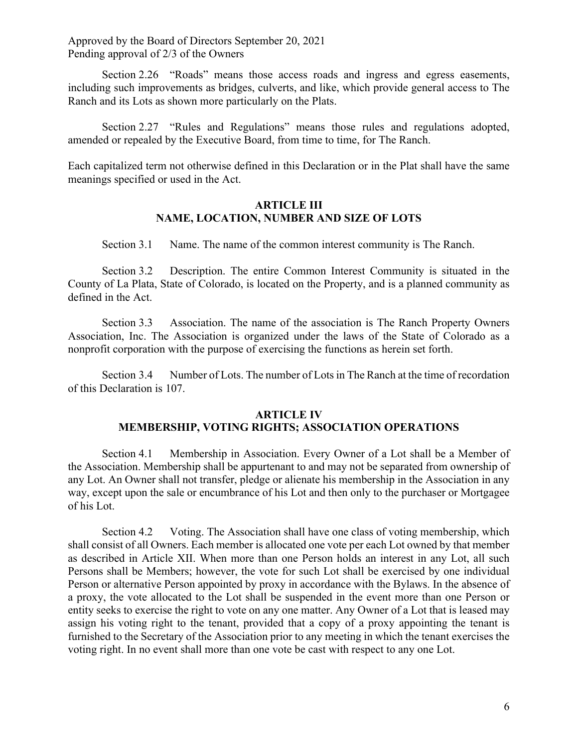Section 2.26 "Roads" means those access roads and ingress and egress easements, including such improvements as bridges, culverts, and like, which provide general access to The Ranch and its Lots as shown more particularly on the Plats.

Section 2.27 "Rules and Regulations" means those rules and regulations adopted, amended or repealed by the Executive Board, from time to time, for The Ranch.

Each capitalized term not otherwise defined in this Declaration or in the Plat shall have the same meanings specified or used in the Act.

## **ARTICLE III NAME, LOCATION, NUMBER AND SIZE OF LOTS**

Section 3.1 Name. The name of the common interest community is The Ranch.

Section 3.2 Description. The entire Common Interest Community is situated in the County of La Plata, State of Colorado, is located on the Property, and is a planned community as defined in the Act.

Section 3.3 Association. The name of the association is The Ranch Property Owners Association, Inc. The Association is organized under the laws of the State of Colorado as a nonprofit corporation with the purpose of exercising the functions as herein set forth.

Section 3.4 Number of Lots. The number of Lots in The Ranch at the time of recordation of this Declaration is 107.

#### **ARTICLE IV**

# **MEMBERSHIP, VOTING RIGHTS; ASSOCIATION OPERATIONS**

Section 4.1 Membership in Association. Every Owner of a Lot shall be a Member of the Association. Membership shall be appurtenant to and may not be separated from ownership of any Lot. An Owner shall not transfer, pledge or alienate his membership in the Association in any way, except upon the sale or encumbrance of his Lot and then only to the purchaser or Mortgagee of his Lot.

Section 4.2 Voting. The Association shall have one class of voting membership, which shall consist of all Owners. Each member is allocated one vote per each Lot owned by that member as described in Article XII. When more than one Person holds an interest in any Lot, all such Persons shall be Members; however, the vote for such Lot shall be exercised by one individual Person or alternative Person appointed by proxy in accordance with the Bylaws. In the absence of a proxy, the vote allocated to the Lot shall be suspended in the event more than one Person or entity seeks to exercise the right to vote on any one matter. Any Owner of a Lot that is leased may assign his voting right to the tenant, provided that a copy of a proxy appointing the tenant is furnished to the Secretary of the Association prior to any meeting in which the tenant exercises the voting right. In no event shall more than one vote be cast with respect to any one Lot.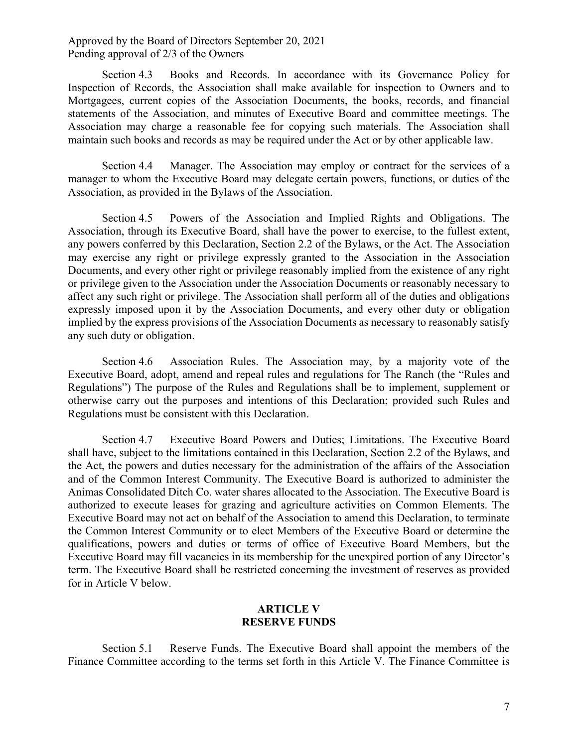Section 4.3 Books and Records. In accordance with its Governance Policy for Inspection of Records, the Association shall make available for inspection to Owners and to Mortgagees, current copies of the Association Documents, the books, records, and financial statements of the Association, and minutes of Executive Board and committee meetings. The Association may charge a reasonable fee for copying such materials. The Association shall maintain such books and records as may be required under the Act or by other applicable law.

Section 4.4 Manager. The Association may employ or contract for the services of a manager to whom the Executive Board may delegate certain powers, functions, or duties of the Association, as provided in the Bylaws of the Association.

Section 4.5 Powers of the Association and Implied Rights and Obligations. The Association, through its Executive Board, shall have the power to exercise, to the fullest extent, any powers conferred by this Declaration, Section 2.2 of the Bylaws, or the Act. The Association may exercise any right or privilege expressly granted to the Association in the Association Documents, and every other right or privilege reasonably implied from the existence of any right or privilege given to the Association under the Association Documents or reasonably necessary to affect any such right or privilege. The Association shall perform all of the duties and obligations expressly imposed upon it by the Association Documents, and every other duty or obligation implied by the express provisions of the Association Documents as necessary to reasonably satisfy any such duty or obligation.

Section 4.6 Association Rules. The Association may, by a majority vote of the Executive Board, adopt, amend and repeal rules and regulations for The Ranch (the "Rules and Regulations") The purpose of the Rules and Regulations shall be to implement, supplement or otherwise carry out the purposes and intentions of this Declaration; provided such Rules and Regulations must be consistent with this Declaration.

Section 4.7 Executive Board Powers and Duties; Limitations. The Executive Board shall have, subject to the limitations contained in this Declaration, Section 2.2 of the Bylaws, and the Act, the powers and duties necessary for the administration of the affairs of the Association and of the Common Interest Community. The Executive Board is authorized to administer the Animas Consolidated Ditch Co. water shares allocated to the Association. The Executive Board is authorized to execute leases for grazing and agriculture activities on Common Elements. The Executive Board may not act on behalf of the Association to amend this Declaration, to terminate the Common Interest Community or to elect Members of the Executive Board or determine the qualifications, powers and duties or terms of office of Executive Board Members, but the Executive Board may fill vacancies in its membership for the unexpired portion of any Director's term. The Executive Board shall be restricted concerning the investment of reserves as provided for in Article V below.

### **ARTICLE V RESERVE FUNDS**

Section 5.1 Reserve Funds. The Executive Board shall appoint the members of the Finance Committee according to the terms set forth in this Article V. The Finance Committee is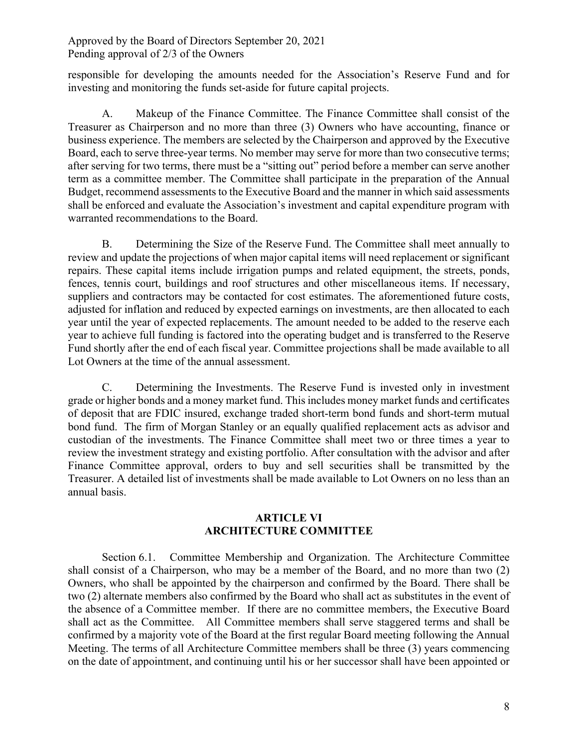responsible for developing the amounts needed for the Association's Reserve Fund and for investing and monitoring the funds set-aside for future capital projects.

A. Makeup of the Finance Committee. The Finance Committee shall consist of the Treasurer as Chairperson and no more than three (3) Owners who have accounting, finance or business experience. The members are selected by the Chairperson and approved by the Executive Board, each to serve three-year terms. No member may serve for more than two consecutive terms; after serving for two terms, there must be a "sitting out" period before a member can serve another term as a committee member. The Committee shall participate in the preparation of the Annual Budget, recommend assessments to the Executive Board and the manner in which said assessments shall be enforced and evaluate the Association's investment and capital expenditure program with warranted recommendations to the Board.

B. Determining the Size of the Reserve Fund. The Committee shall meet annually to review and update the projections of when major capital items will need replacement or significant repairs. These capital items include irrigation pumps and related equipment, the streets, ponds, fences, tennis court, buildings and roof structures and other miscellaneous items. If necessary, suppliers and contractors may be contacted for cost estimates. The aforementioned future costs, adjusted for inflation and reduced by expected earnings on investments, are then allocated to each year until the year of expected replacements. The amount needed to be added to the reserve each year to achieve full funding is factored into the operating budget and is transferred to the Reserve Fund shortly after the end of each fiscal year. Committee projections shall be made available to all Lot Owners at the time of the annual assessment.

C. Determining the Investments. The Reserve Fund is invested only in investment grade or higher bonds and a money market fund. This includes money market funds and certificates of deposit that are FDIC insured, exchange traded short-term bond funds and short-term mutual bond fund. The firm of Morgan Stanley or an equally qualified replacement acts as advisor and custodian of the investments. The Finance Committee shall meet two or three times a year to review the investment strategy and existing portfolio. After consultation with the advisor and after Finance Committee approval, orders to buy and sell securities shall be transmitted by the Treasurer. A detailed list of investments shall be made available to Lot Owners on no less than an annual basis.

# **ARTICLE VI ARCHITECTURE COMMITTEE**

Section 6.1. Committee Membership and Organization. The Architecture Committee shall consist of a Chairperson, who may be a member of the Board, and no more than two (2) Owners, who shall be appointed by the chairperson and confirmed by the Board. There shall be two (2) alternate members also confirmed by the Board who shall act as substitutes in the event of the absence of a Committee member. If there are no committee members, the Executive Board shall act as the Committee. All Committee members shall serve staggered terms and shall be confirmed by a majority vote of the Board at the first regular Board meeting following the Annual Meeting. The terms of all Architecture Committee members shall be three (3) years commencing on the date of appointment, and continuing until his or her successor shall have been appointed or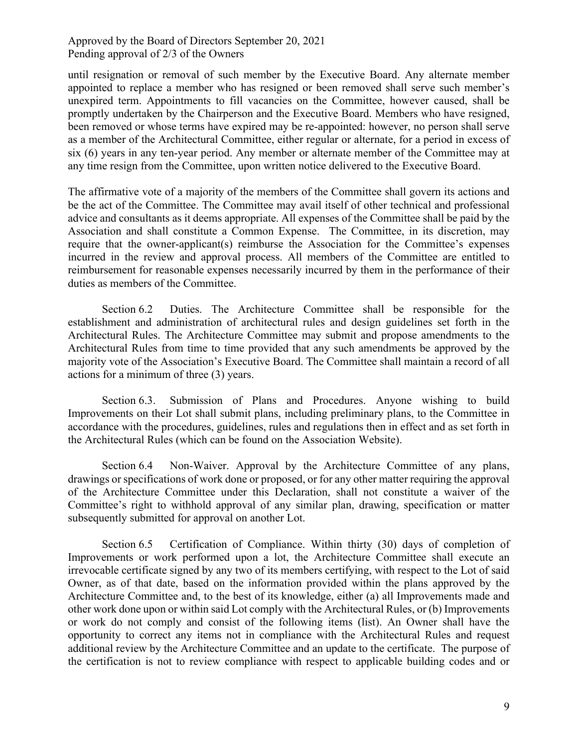until resignation or removal of such member by the Executive Board. Any alternate member appointed to replace a member who has resigned or been removed shall serve such member's unexpired term. Appointments to fill vacancies on the Committee, however caused, shall be promptly undertaken by the Chairperson and the Executive Board. Members who have resigned, been removed or whose terms have expired may be re-appointed: however, no person shall serve as a member of the Architectural Committee, either regular or alternate, for a period in excess of six (6) years in any ten-year period. Any member or alternate member of the Committee may at any time resign from the Committee, upon written notice delivered to the Executive Board.

The affirmative vote of a majority of the members of the Committee shall govern its actions and be the act of the Committee. The Committee may avail itself of other technical and professional advice and consultants as it deems appropriate. All expenses of the Committee shall be paid by the Association and shall constitute a Common Expense. The Committee, in its discretion, may require that the owner-applicant(s) reimburse the Association for the Committee's expenses incurred in the review and approval process. All members of the Committee are entitled to reimbursement for reasonable expenses necessarily incurred by them in the performance of their duties as members of the Committee.

Section 6.2 Duties. The Architecture Committee shall be responsible for the establishment and administration of architectural rules and design guidelines set forth in the Architectural Rules. The Architecture Committee may submit and propose amendments to the Architectural Rules from time to time provided that any such amendments be approved by the majority vote of the Association's Executive Board. The Committee shall maintain a record of all actions for a minimum of three (3) years.

Section 6.3. Submission of Plans and Procedures. Anyone wishing to build Improvements on their Lot shall submit plans, including preliminary plans, to the Committee in accordance with the procedures, guidelines, rules and regulations then in effect and as set forth in the Architectural Rules (which can be found on the Association Website).

Section 6.4 Non-Waiver. Approval by the Architecture Committee of any plans, drawings or specifications of work done or proposed, or for any other matter requiring the approval of the Architecture Committee under this Declaration, shall not constitute a waiver of the Committee's right to withhold approval of any similar plan, drawing, specification or matter subsequently submitted for approval on another Lot.

Section 6.5 Certification of Compliance. Within thirty (30) days of completion of Improvements or work performed upon a lot, the Architecture Committee shall execute an irrevocable certificate signed by any two of its members certifying, with respect to the Lot of said Owner, as of that date, based on the information provided within the plans approved by the Architecture Committee and, to the best of its knowledge, either (a) all Improvements made and other work done upon or within said Lot comply with the Architectural Rules, or (b) Improvements or work do not comply and consist of the following items (list). An Owner shall have the opportunity to correct any items not in compliance with the Architectural Rules and request additional review by the Architecture Committee and an update to the certificate. The purpose of the certification is not to review compliance with respect to applicable building codes and or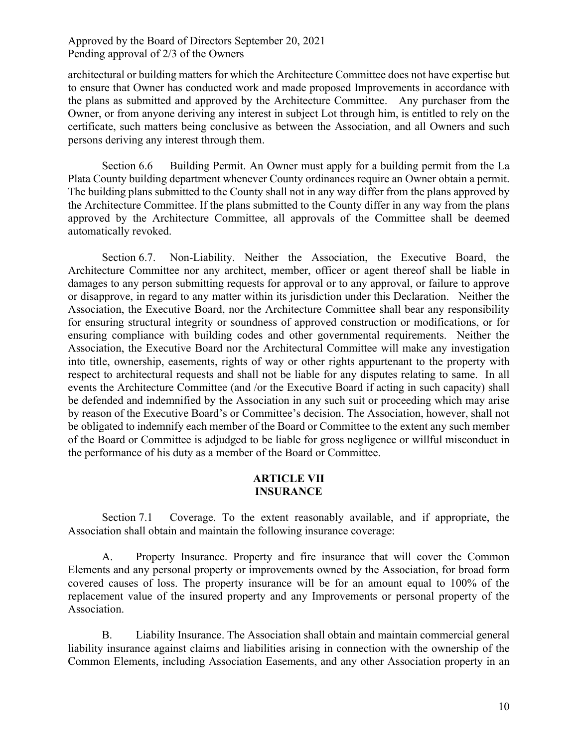architectural or building matters for which the Architecture Committee does not have expertise but to ensure that Owner has conducted work and made proposed Improvements in accordance with the plans as submitted and approved by the Architecture Committee. Any purchaser from the Owner, or from anyone deriving any interest in subject Lot through him, is entitled to rely on the certificate, such matters being conclusive as between the Association, and all Owners and such persons deriving any interest through them.

Section 6.6 Building Permit. An Owner must apply for a building permit from the La Plata County building department whenever County ordinances require an Owner obtain a permit. The building plans submitted to the County shall not in any way differ from the plans approved by the Architecture Committee. If the plans submitted to the County differ in any way from the plans approved by the Architecture Committee, all approvals of the Committee shall be deemed automatically revoked.

Section 6.7. Non-Liability. Neither the Association, the Executive Board, the Architecture Committee nor any architect, member, officer or agent thereof shall be liable in damages to any person submitting requests for approval or to any approval, or failure to approve or disapprove, in regard to any matter within its jurisdiction under this Declaration. Neither the Association, the Executive Board, nor the Architecture Committee shall bear any responsibility for ensuring structural integrity or soundness of approved construction or modifications, or for ensuring compliance with building codes and other governmental requirements. Neither the Association, the Executive Board nor the Architectural Committee will make any investigation into title, ownership, easements, rights of way or other rights appurtenant to the property with respect to architectural requests and shall not be liable for any disputes relating to same. In all events the Architecture Committee (and /or the Executive Board if acting in such capacity) shall be defended and indemnified by the Association in any such suit or proceeding which may arise by reason of the Executive Board's or Committee's decision. The Association, however, shall not be obligated to indemnify each member of the Board or Committee to the extent any such member of the Board or Committee is adjudged to be liable for gross negligence or willful misconduct in the performance of his duty as a member of the Board or Committee.

## **ARTICLE VII INSURANCE**

Section 7.1 Coverage. To the extent reasonably available, and if appropriate, the Association shall obtain and maintain the following insurance coverage:

A. Property Insurance. Property and fire insurance that will cover the Common Elements and any personal property or improvements owned by the Association, for broad form covered causes of loss. The property insurance will be for an amount equal to 100% of the replacement value of the insured property and any Improvements or personal property of the Association.

B. Liability Insurance. The Association shall obtain and maintain commercial general liability insurance against claims and liabilities arising in connection with the ownership of the Common Elements, including Association Easements, and any other Association property in an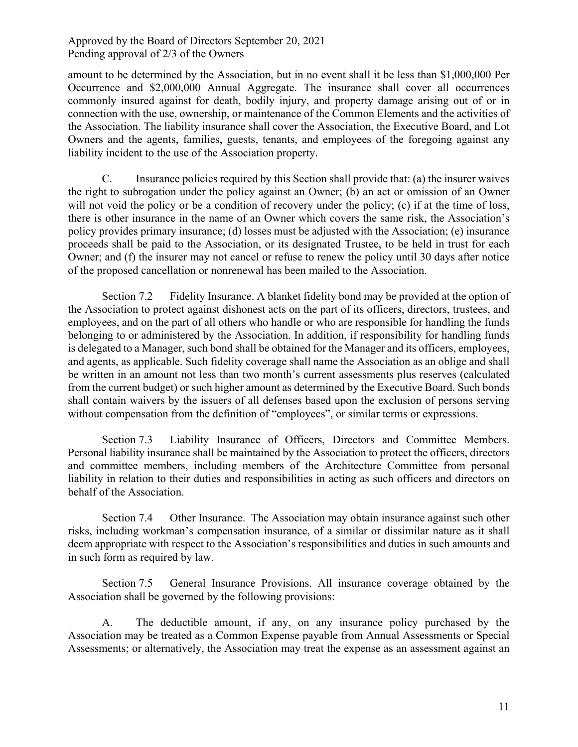amount to be determined by the Association, but in no event shall it be less than \$1,000,000 Per Occurrence and \$2,000,000 Annual Aggregate. The insurance shall cover all occurrences commonly insured against for death, bodily injury, and property damage arising out of or in connection with the use, ownership, or maintenance of the Common Elements and the activities of the Association. The liability insurance shall cover the Association, the Executive Board, and Lot Owners and the agents, families, guests, tenants, and employees of the foregoing against any liability incident to the use of the Association property.

C. Insurance policies required by this Section shall provide that: (a) the insurer waives the right to subrogation under the policy against an Owner; (b) an act or omission of an Owner will not void the policy or be a condition of recovery under the policy; (c) if at the time of loss, there is other insurance in the name of an Owner which covers the same risk, the Association's policy provides primary insurance; (d) losses must be adjusted with the Association; (e) insurance proceeds shall be paid to the Association, or its designated Trustee, to be held in trust for each Owner; and (f) the insurer may not cancel or refuse to renew the policy until 30 days after notice of the proposed cancellation or nonrenewal has been mailed to the Association.

Section 7.2 Fidelity Insurance. A blanket fidelity bond may be provided at the option of the Association to protect against dishonest acts on the part of its officers, directors, trustees, and employees, and on the part of all others who handle or who are responsible for handling the funds belonging to or administered by the Association. In addition, if responsibility for handling funds is delegated to a Manager, such bond shall be obtained for the Manager and its officers, employees, and agents, as applicable. Such fidelity coverage shall name the Association as an oblige and shall be written in an amount not less than two month's current assessments plus reserves (calculated from the current budget) or such higher amount as determined by the Executive Board. Such bonds shall contain waivers by the issuers of all defenses based upon the exclusion of persons serving without compensation from the definition of "employees", or similar terms or expressions.

Section 7.3 Liability Insurance of Officers, Directors and Committee Members. Personal liability insurance shall be maintained by the Association to protect the officers, directors and committee members, including members of the Architecture Committee from personal liability in relation to their duties and responsibilities in acting as such officers and directors on behalf of the Association.

Section 7.4 Other Insurance. The Association may obtain insurance against such other risks, including workman's compensation insurance, of a similar or dissimilar nature as it shall deem appropriate with respect to the Association's responsibilities and duties in such amounts and in such form as required by law.

Section 7.5 General Insurance Provisions. All insurance coverage obtained by the Association shall be governed by the following provisions:

A. The deductible amount, if any, on any insurance policy purchased by the Association may be treated as a Common Expense payable from Annual Assessments or Special Assessments; or alternatively, the Association may treat the expense as an assessment against an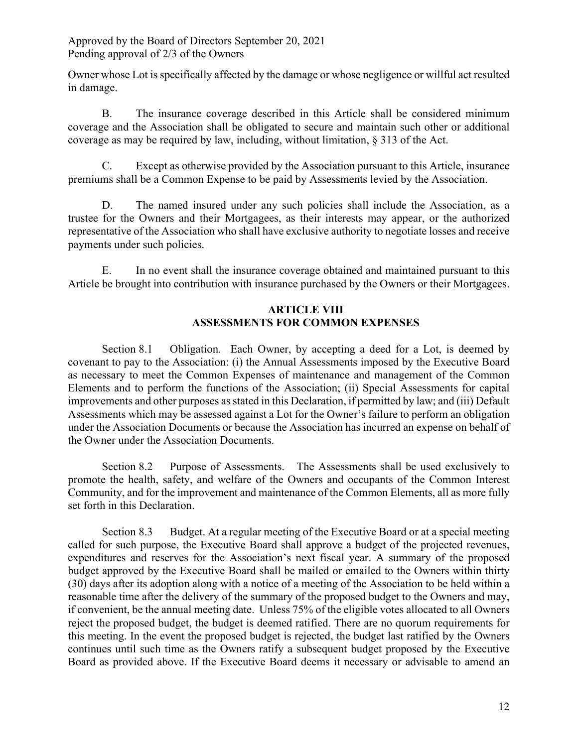Owner whose Lot is specifically affected by the damage or whose negligence or willful act resulted in damage.

B. The insurance coverage described in this Article shall be considered minimum coverage and the Association shall be obligated to secure and maintain such other or additional coverage as may be required by law, including, without limitation, § 313 of the Act.

C. Except as otherwise provided by the Association pursuant to this Article, insurance premiums shall be a Common Expense to be paid by Assessments levied by the Association.

D. The named insured under any such policies shall include the Association, as a trustee for the Owners and their Mortgagees, as their interests may appear, or the authorized representative of the Association who shall have exclusive authority to negotiate losses and receive payments under such policies.

E. In no event shall the insurance coverage obtained and maintained pursuant to this Article be brought into contribution with insurance purchased by the Owners or their Mortgagees.

# **ARTICLE VIII ASSESSMENTS FOR COMMON EXPENSES**

Section 8.1 Obligation. Each Owner, by accepting a deed for a Lot, is deemed by covenant to pay to the Association: (i) the Annual Assessments imposed by the Executive Board as necessary to meet the Common Expenses of maintenance and management of the Common Elements and to perform the functions of the Association; (ii) Special Assessments for capital improvements and other purposes as stated in this Declaration, if permitted by law; and (iii) Default Assessments which may be assessed against a Lot for the Owner's failure to perform an obligation under the Association Documents or because the Association has incurred an expense on behalf of the Owner under the Association Documents.

Section 8.2 Purpose of Assessments. The Assessments shall be used exclusively to promote the health, safety, and welfare of the Owners and occupants of the Common Interest Community, and for the improvement and maintenance of the Common Elements, all as more fully set forth in this Declaration.

Section 8.3 Budget. At a regular meeting of the Executive Board or at a special meeting called for such purpose, the Executive Board shall approve a budget of the projected revenues, expenditures and reserves for the Association's next fiscal year. A summary of the proposed budget approved by the Executive Board shall be mailed or emailed to the Owners within thirty (30) days after its adoption along with a notice of a meeting of the Association to be held within a reasonable time after the delivery of the summary of the proposed budget to the Owners and may, if convenient, be the annual meeting date. Unless 75% of the eligible votes allocated to all Owners reject the proposed budget, the budget is deemed ratified. There are no quorum requirements for this meeting. In the event the proposed budget is rejected, the budget last ratified by the Owners continues until such time as the Owners ratify a subsequent budget proposed by the Executive Board as provided above. If the Executive Board deems it necessary or advisable to amend an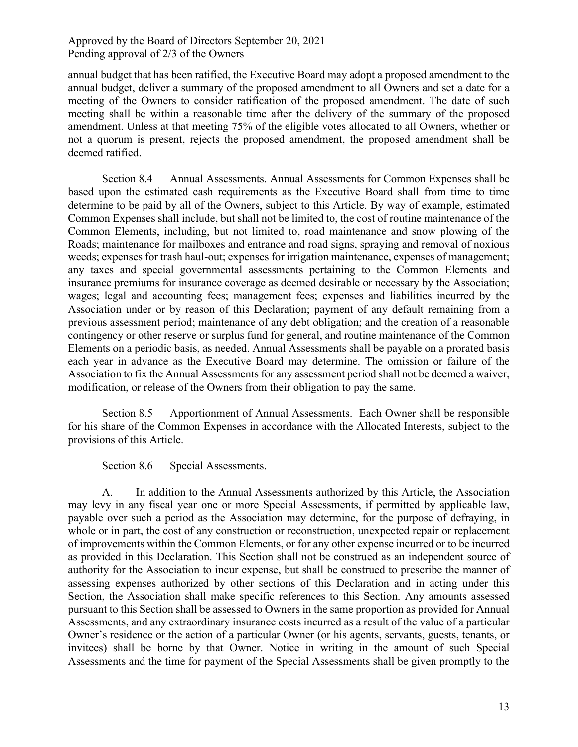annual budget that has been ratified, the Executive Board may adopt a proposed amendment to the annual budget, deliver a summary of the proposed amendment to all Owners and set a date for a meeting of the Owners to consider ratification of the proposed amendment. The date of such meeting shall be within a reasonable time after the delivery of the summary of the proposed amendment. Unless at that meeting 75% of the eligible votes allocated to all Owners, whether or not a quorum is present, rejects the proposed amendment, the proposed amendment shall be deemed ratified.

Section 8.4 Annual Assessments. Annual Assessments for Common Expenses shall be based upon the estimated cash requirements as the Executive Board shall from time to time determine to be paid by all of the Owners, subject to this Article. By way of example, estimated Common Expenses shall include, but shall not be limited to, the cost of routine maintenance of the Common Elements, including, but not limited to, road maintenance and snow plowing of the Roads; maintenance for mailboxes and entrance and road signs, spraying and removal of noxious weeds; expenses for trash haul-out; expenses for irrigation maintenance, expenses of management; any taxes and special governmental assessments pertaining to the Common Elements and insurance premiums for insurance coverage as deemed desirable or necessary by the Association; wages; legal and accounting fees; management fees; expenses and liabilities incurred by the Association under or by reason of this Declaration; payment of any default remaining from a previous assessment period; maintenance of any debt obligation; and the creation of a reasonable contingency or other reserve or surplus fund for general, and routine maintenance of the Common Elements on a periodic basis, as needed. Annual Assessments shall be payable on a prorated basis each year in advance as the Executive Board may determine. The omission or failure of the Association to fix the Annual Assessments for any assessment period shall not be deemed a waiver, modification, or release of the Owners from their obligation to pay the same.

Section 8.5 Apportionment of Annual Assessments. Each Owner shall be responsible for his share of the Common Expenses in accordance with the Allocated Interests, subject to the provisions of this Article.

Section 8.6 Special Assessments.

A. In addition to the Annual Assessments authorized by this Article, the Association may levy in any fiscal year one or more Special Assessments, if permitted by applicable law, payable over such a period as the Association may determine, for the purpose of defraying, in whole or in part, the cost of any construction or reconstruction, unexpected repair or replacement of improvements within the Common Elements, or for any other expense incurred or to be incurred as provided in this Declaration. This Section shall not be construed as an independent source of authority for the Association to incur expense, but shall be construed to prescribe the manner of assessing expenses authorized by other sections of this Declaration and in acting under this Section, the Association shall make specific references to this Section. Any amounts assessed pursuant to this Section shall be assessed to Owners in the same proportion as provided for Annual Assessments, and any extraordinary insurance costs incurred as a result of the value of a particular Owner's residence or the action of a particular Owner (or his agents, servants, guests, tenants, or invitees) shall be borne by that Owner. Notice in writing in the amount of such Special Assessments and the time for payment of the Special Assessments shall be given promptly to the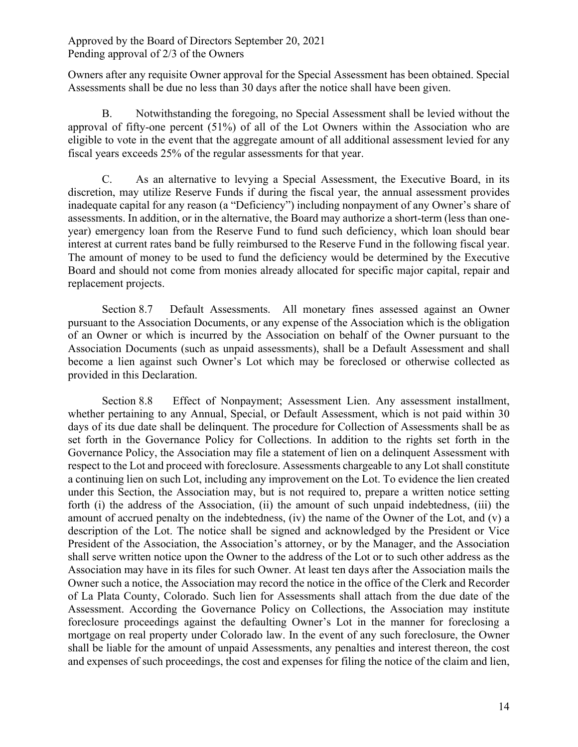Owners after any requisite Owner approval for the Special Assessment has been obtained. Special Assessments shall be due no less than 30 days after the notice shall have been given.

B. Notwithstanding the foregoing, no Special Assessment shall be levied without the approval of fifty-one percent (51%) of all of the Lot Owners within the Association who are eligible to vote in the event that the aggregate amount of all additional assessment levied for any fiscal years exceeds 25% of the regular assessments for that year.

C. As an alternative to levying a Special Assessment, the Executive Board, in its discretion, may utilize Reserve Funds if during the fiscal year, the annual assessment provides inadequate capital for any reason (a "Deficiency") including nonpayment of any Owner's share of assessments. In addition, or in the alternative, the Board may authorize a short-term (less than oneyear) emergency loan from the Reserve Fund to fund such deficiency, which loan should bear interest at current rates band be fully reimbursed to the Reserve Fund in the following fiscal year. The amount of money to be used to fund the deficiency would be determined by the Executive Board and should not come from monies already allocated for specific major capital, repair and replacement projects.

Section 8.7 Default Assessments. All monetary fines assessed against an Owner pursuant to the Association Documents, or any expense of the Association which is the obligation of an Owner or which is incurred by the Association on behalf of the Owner pursuant to the Association Documents (such as unpaid assessments), shall be a Default Assessment and shall become a lien against such Owner's Lot which may be foreclosed or otherwise collected as provided in this Declaration.

Section 8.8 Effect of Nonpayment; Assessment Lien. Any assessment installment, whether pertaining to any Annual, Special, or Default Assessment, which is not paid within 30 days of its due date shall be delinquent. The procedure for Collection of Assessments shall be as set forth in the Governance Policy for Collections. In addition to the rights set forth in the Governance Policy, the Association may file a statement of lien on a delinquent Assessment with respect to the Lot and proceed with foreclosure. Assessments chargeable to any Lot shall constitute a continuing lien on such Lot, including any improvement on the Lot. To evidence the lien created under this Section, the Association may, but is not required to, prepare a written notice setting forth (i) the address of the Association, (ii) the amount of such unpaid indebtedness, (iii) the amount of accrued penalty on the indebtedness, (iv) the name of the Owner of the Lot, and (v) a description of the Lot. The notice shall be signed and acknowledged by the President or Vice President of the Association, the Association's attorney, or by the Manager, and the Association shall serve written notice upon the Owner to the address of the Lot or to such other address as the Association may have in its files for such Owner. At least ten days after the Association mails the Owner such a notice, the Association may record the notice in the office of the Clerk and Recorder of La Plata County, Colorado. Such lien for Assessments shall attach from the due date of the Assessment. According the Governance Policy on Collections, the Association may institute foreclosure proceedings against the defaulting Owner's Lot in the manner for foreclosing a mortgage on real property under Colorado law. In the event of any such foreclosure, the Owner shall be liable for the amount of unpaid Assessments, any penalties and interest thereon, the cost and expenses of such proceedings, the cost and expenses for filing the notice of the claim and lien,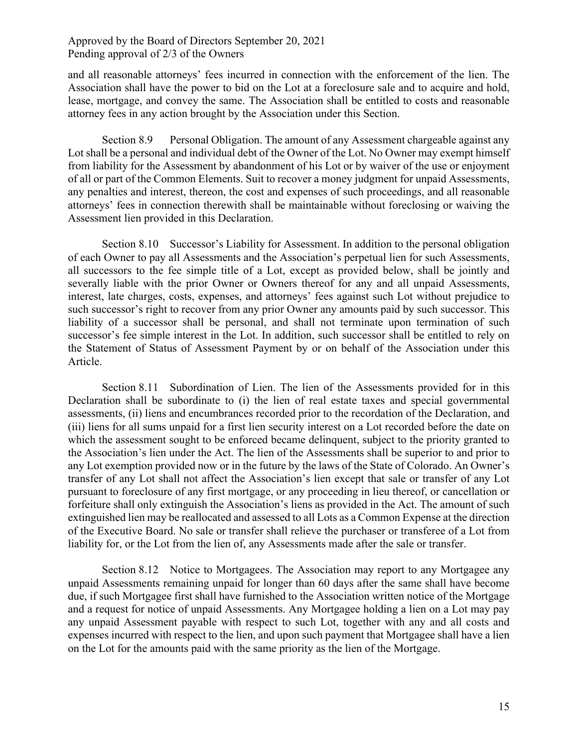and all reasonable attorneys' fees incurred in connection with the enforcement of the lien. The Association shall have the power to bid on the Lot at a foreclosure sale and to acquire and hold, lease, mortgage, and convey the same. The Association shall be entitled to costs and reasonable attorney fees in any action brought by the Association under this Section.

Section 8.9 Personal Obligation. The amount of any Assessment chargeable against any Lot shall be a personal and individual debt of the Owner of the Lot. No Owner may exempt himself from liability for the Assessment by abandonment of his Lot or by waiver of the use or enjoyment of all or part of the Common Elements. Suit to recover a money judgment for unpaid Assessments, any penalties and interest, thereon, the cost and expenses of such proceedings, and all reasonable attorneys' fees in connection therewith shall be maintainable without foreclosing or waiving the Assessment lien provided in this Declaration.

Section 8.10 Successor's Liability for Assessment. In addition to the personal obligation of each Owner to pay all Assessments and the Association's perpetual lien for such Assessments, all successors to the fee simple title of a Lot, except as provided below, shall be jointly and severally liable with the prior Owner or Owners thereof for any and all unpaid Assessments, interest, late charges, costs, expenses, and attorneys' fees against such Lot without prejudice to such successor's right to recover from any prior Owner any amounts paid by such successor. This liability of a successor shall be personal, and shall not terminate upon termination of such successor's fee simple interest in the Lot. In addition, such successor shall be entitled to rely on the Statement of Status of Assessment Payment by or on behalf of the Association under this Article.

Section 8.11 Subordination of Lien. The lien of the Assessments provided for in this Declaration shall be subordinate to (i) the lien of real estate taxes and special governmental assessments, (ii) liens and encumbrances recorded prior to the recordation of the Declaration, and (iii) liens for all sums unpaid for a first lien security interest on a Lot recorded before the date on which the assessment sought to be enforced became delinquent, subject to the priority granted to the Association's lien under the Act. The lien of the Assessments shall be superior to and prior to any Lot exemption provided now or in the future by the laws of the State of Colorado. An Owner's transfer of any Lot shall not affect the Association's lien except that sale or transfer of any Lot pursuant to foreclosure of any first mortgage, or any proceeding in lieu thereof, or cancellation or forfeiture shall only extinguish the Association's liens as provided in the Act. The amount of such extinguished lien may be reallocated and assessed to all Lots as a Common Expense at the direction of the Executive Board. No sale or transfer shall relieve the purchaser or transferee of a Lot from liability for, or the Lot from the lien of, any Assessments made after the sale or transfer.

Section 8.12 Notice to Mortgagees. The Association may report to any Mortgagee any unpaid Assessments remaining unpaid for longer than 60 days after the same shall have become due, if such Mortgagee first shall have furnished to the Association written notice of the Mortgage and a request for notice of unpaid Assessments. Any Mortgagee holding a lien on a Lot may pay any unpaid Assessment payable with respect to such Lot, together with any and all costs and expenses incurred with respect to the lien, and upon such payment that Mortgagee shall have a lien on the Lot for the amounts paid with the same priority as the lien of the Mortgage.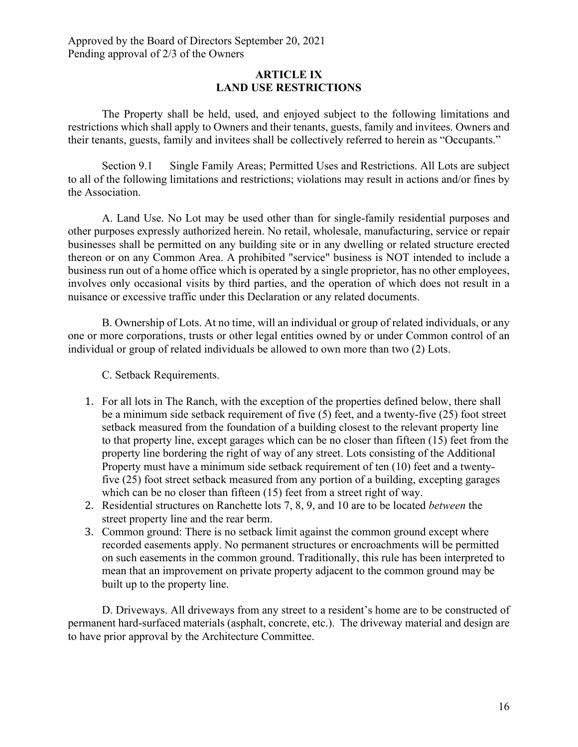#### **ARTICLE IX LAND USE RESTRICTIONS**

The Property shall be held, used, and enjoyed subject to the following limitations and restrictions which shall apply to Owners and their tenants, guests, family and invitees. Owners and their tenants, guests, family and invitees shall be collectively referred to herein as "Occupants."

Section 9.1 Single Family Areas; Permitted Uses and Restrictions. All Lots are subject to all of the following limitations and restrictions; violations may result in actions and/or fines by the Association.

A. Land Use. No Lot may be used other than for single-family residential purposes and other purposes expressly authorized herein. No retail, wholesale, manufacturing, service or repair businesses shall be permitted on any building site or in any dwelling or related structure erected thereon or on any Common Area. A prohibited "service" business is NOT intended to include a business run out of a home office which is operated by a single proprietor, has no other employees, involves only occasional visits by third parties, and the operation of which does not result in a nuisance or excessive traffic under this Declaration or any related documents.

B. Ownership of Lots. At no time, will an individual or group of related individuals, or any one or more corporations, trusts or other legal entities owned by or under Common control of an individual or group of related individuals be allowed to own more than two (2) Lots.

C. Setback Requirements.

- 1. For all lots in The Ranch, with the exception of the properties defined below, there shall be a minimum side setback requirement of five (5) feet, and a twenty-five (25) foot street setback measured from the foundation of a building closest to the relevant property line to that property line, except garages which can be no closer than fifteen (15) feet from the property line bordering the right of way of any street. Lots consisting of the Additional Property must have a minimum side setback requirement of ten (10) feet and a twentyfive (25) foot street setback measured from any portion of a building, excepting garages which can be no closer than fifteen (15) feet from a street right of way.
- 2. Residential structures on Ranchette lots 7, 8, 9, and 10 are to be located *between* the street property line and the rear berm.
- 3. Common ground: There is no setback limit against the common ground except where recorded easements apply. No permanent structures or encroachments will be permitted on such easements in the common ground. Traditionally, this rule has been interpreted to mean that an improvement on private property adjacent to the common ground may be built up to the property line.

D. Driveways. All driveways from any street to a resident's home are to be constructed of permanent hard-surfaced materials (asphalt, concrete, etc.). The driveway material and design are to have prior approval by the Architecture Committee.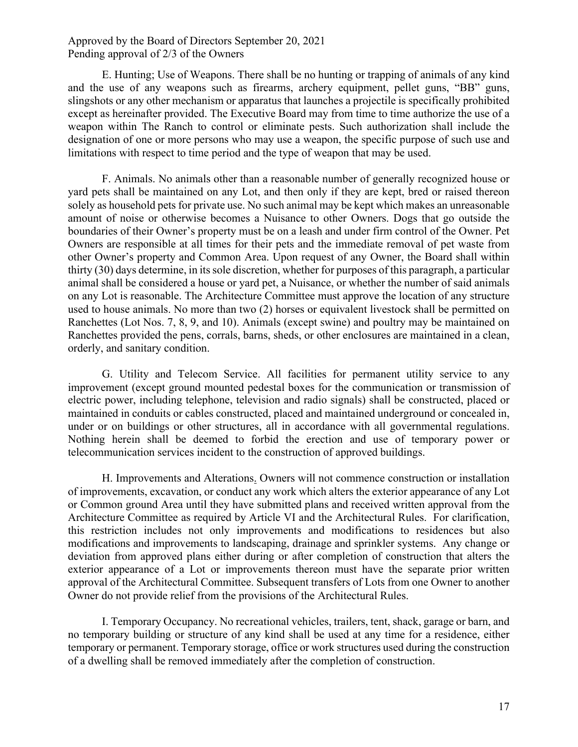E. Hunting; Use of Weapons. There shall be no hunting or trapping of animals of any kind and the use of any weapons such as firearms, archery equipment, pellet guns, "BB" guns, slingshots or any other mechanism or apparatus that launches a projectile is specifically prohibited except as hereinafter provided. The Executive Board may from time to time authorize the use of a weapon within The Ranch to control or eliminate pests. Such authorization shall include the designation of one or more persons who may use a weapon, the specific purpose of such use and limitations with respect to time period and the type of weapon that may be used.

F. Animals. No animals other than a reasonable number of generally recognized house or yard pets shall be maintained on any Lot, and then only if they are kept, bred or raised thereon solely as household pets for private use. No such animal may be kept which makes an unreasonable amount of noise or otherwise becomes a Nuisance to other Owners. Dogs that go outside the boundaries of their Owner's property must be on a leash and under firm control of the Owner. Pet Owners are responsible at all times for their pets and the immediate removal of pet waste from other Owner's property and Common Area. Upon request of any Owner, the Board shall within thirty (30) days determine, in its sole discretion, whether for purposes of this paragraph, a particular animal shall be considered a house or yard pet, a Nuisance, or whether the number of said animals on any Lot is reasonable. The Architecture Committee must approve the location of any structure used to house animals. No more than two (2) horses or equivalent livestock shall be permitted on Ranchettes (Lot Nos. 7, 8, 9, and 10). Animals (except swine) and poultry may be maintained on Ranchettes provided the pens, corrals, barns, sheds, or other enclosures are maintained in a clean, orderly, and sanitary condition.

G. Utility and Telecom Service. All facilities for permanent utility service to any improvement (except ground mounted pedestal boxes for the communication or transmission of electric power, including telephone, television and radio signals) shall be constructed, placed or maintained in conduits or cables constructed, placed and maintained underground or concealed in, under or on buildings or other structures, all in accordance with all governmental regulations. Nothing herein shall be deemed to forbid the erection and use of temporary power or telecommunication services incident to the construction of approved buildings.

H. Improvements and Alterations. Owners will not commence construction or installation of improvements, excavation, or conduct any work which alters the exterior appearance of any Lot or Common ground Area until they have submitted plans and received written approval from the Architecture Committee as required by Article VI and the Architectural Rules. For clarification, this restriction includes not only improvements and modifications to residences but also modifications and improvements to landscaping, drainage and sprinkler systems. Any change or deviation from approved plans either during or after completion of construction that alters the exterior appearance of a Lot or improvements thereon must have the separate prior written approval of the Architectural Committee. Subsequent transfers of Lots from one Owner to another Owner do not provide relief from the provisions of the Architectural Rules.

I. Temporary Occupancy. No recreational vehicles, trailers, tent, shack, garage or barn, and no temporary building or structure of any kind shall be used at any time for a residence, either temporary or permanent. Temporary storage, office or work structures used during the construction of a dwelling shall be removed immediately after the completion of construction.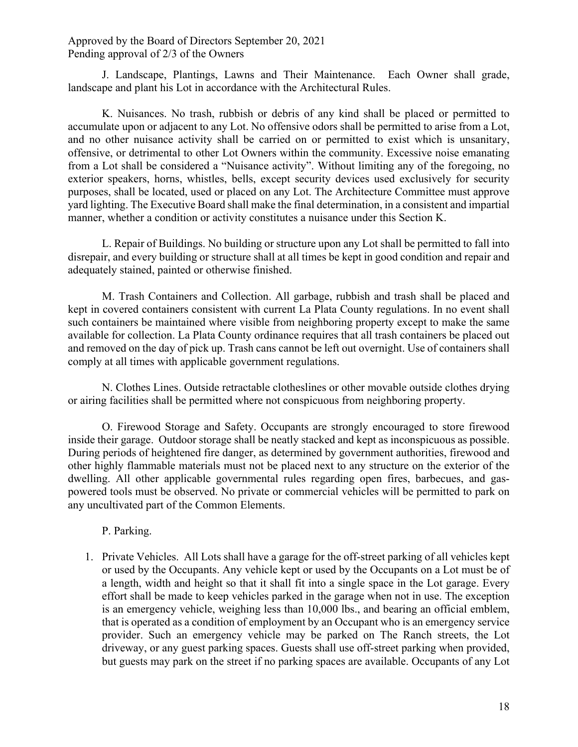J. Landscape, Plantings, Lawns and Their Maintenance. Each Owner shall grade, landscape and plant his Lot in accordance with the Architectural Rules.

K. Nuisances. No trash, rubbish or debris of any kind shall be placed or permitted to accumulate upon or adjacent to any Lot. No offensive odors shall be permitted to arise from a Lot, and no other nuisance activity shall be carried on or permitted to exist which is unsanitary, offensive, or detrimental to other Lot Owners within the community. Excessive noise emanating from a Lot shall be considered a "Nuisance activity". Without limiting any of the foregoing, no exterior speakers, horns, whistles, bells, except security devices used exclusively for security purposes, shall be located, used or placed on any Lot. The Architecture Committee must approve yard lighting. The Executive Board shall make the final determination, in a consistent and impartial manner, whether a condition or activity constitutes a nuisance under this Section K.

L. Repair of Buildings. No building or structure upon any Lot shall be permitted to fall into disrepair, and every building or structure shall at all times be kept in good condition and repair and adequately stained, painted or otherwise finished.

M. Trash Containers and Collection. All garbage, rubbish and trash shall be placed and kept in covered containers consistent with current La Plata County regulations. In no event shall such containers be maintained where visible from neighboring property except to make the same available for collection. La Plata County ordinance requires that all trash containers be placed out and removed on the day of pick up. Trash cans cannot be left out overnight. Use of containers shall comply at all times with applicable government regulations.

N. Clothes Lines. Outside retractable clotheslines or other movable outside clothes drying or airing facilities shall be permitted where not conspicuous from neighboring property.

O. Firewood Storage and Safety. Occupants are strongly encouraged to store firewood inside their garage. Outdoor storage shall be neatly stacked and kept as inconspicuous as possible. During periods of heightened fire danger, as determined by government authorities, firewood and other highly flammable materials must not be placed next to any structure on the exterior of the dwelling. All other applicable governmental rules regarding open fires, barbecues, and gaspowered tools must be observed. No private or commercial vehicles will be permitted to park on any uncultivated part of the Common Elements.

P. Parking.

1. Private Vehicles. All Lots shall have a garage for the off-street parking of all vehicles kept or used by the Occupants. Any vehicle kept or used by the Occupants on a Lot must be of a length, width and height so that it shall fit into a single space in the Lot garage. Every effort shall be made to keep vehicles parked in the garage when not in use. The exception is an emergency vehicle, weighing less than 10,000 lbs., and bearing an official emblem, that is operated as a condition of employment by an Occupant who is an emergency service provider. Such an emergency vehicle may be parked on The Ranch streets, the Lot driveway, or any guest parking spaces. Guests shall use off-street parking when provided, but guests may park on the street if no parking spaces are available. Occupants of any Lot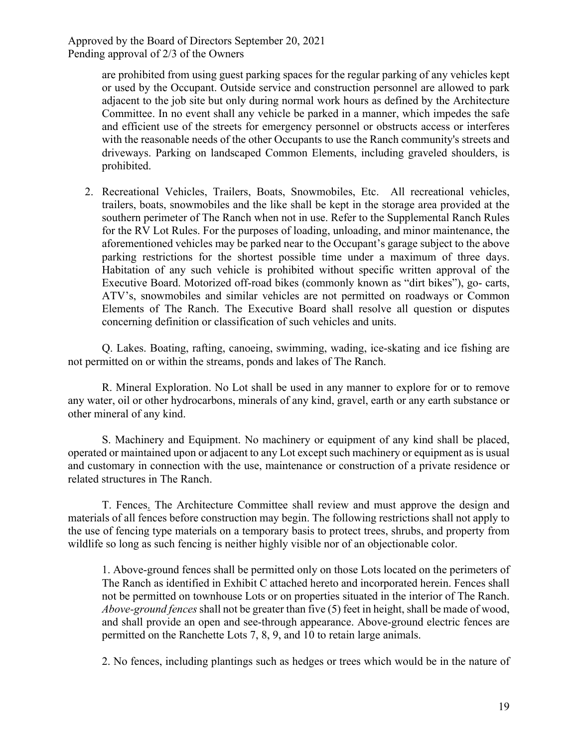> are prohibited from using guest parking spaces for the regular parking of any vehicles kept or used by the Occupant. Outside service and construction personnel are allowed to park adjacent to the job site but only during normal work hours as defined by the Architecture Committee. In no event shall any vehicle be parked in a manner, which impedes the safe and efficient use of the streets for emergency personnel or obstructs access or interferes with the reasonable needs of the other Occupants to use the Ranch community's streets and driveways. Parking on landscaped Common Elements, including graveled shoulders, is prohibited.

2. Recreational Vehicles, Trailers, Boats, Snowmobiles, Etc. All recreational vehicles, trailers, boats, snowmobiles and the like shall be kept in the storage area provided at the southern perimeter of The Ranch when not in use. Refer to the Supplemental Ranch Rules for the RV Lot Rules. For the purposes of loading, unloading, and minor maintenance, the aforementioned vehicles may be parked near to the Occupant's garage subject to the above parking restrictions for the shortest possible time under a maximum of three days. Habitation of any such vehicle is prohibited without specific written approval of the Executive Board. Motorized off-road bikes (commonly known as "dirt bikes"), go- carts, ATV's, snowmobiles and similar vehicles are not permitted on roadways or Common Elements of The Ranch. The Executive Board shall resolve all question or disputes concerning definition or classification of such vehicles and units.

Q. Lakes. Boating, rafting, canoeing, swimming, wading, ice-skating and ice fishing are not permitted on or within the streams, ponds and lakes of The Ranch.

R. Mineral Exploration. No Lot shall be used in any manner to explore for or to remove any water, oil or other hydrocarbons, minerals of any kind, gravel, earth or any earth substance or other mineral of any kind.

S. Machinery and Equipment. No machinery or equipment of any kind shall be placed, operated or maintained upon or adjacent to any Lot except such machinery or equipment as is usual and customary in connection with the use, maintenance or construction of a private residence or related structures in The Ranch.

T. Fences. The Architecture Committee shall review and must approve the design and materials of all fences before construction may begin. The following restrictions shall not apply to the use of fencing type materials on a temporary basis to protect trees, shrubs, and property from wildlife so long as such fencing is neither highly visible nor of an objectionable color.

1. Above-ground fences shall be permitted only on those Lots located on the perimeters of The Ranch as identified in Exhibit C attached hereto and incorporated herein. Fences shall not be permitted on townhouse Lots or on properties situated in the interior of The Ranch. *Above-ground fences* shall not be greater than five (5) feet in height, shall be made of wood, and shall provide an open and see-through appearance. Above-ground electric fences are permitted on the Ranchette Lots 7, 8, 9, and 10 to retain large animals.

2. No fences, including plantings such as hedges or trees which would be in the nature of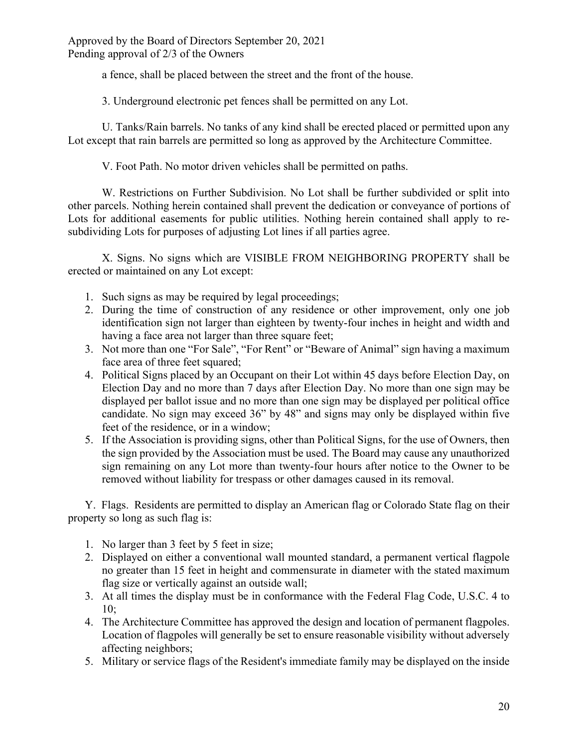a fence, shall be placed between the street and the front of the house.

3. Underground electronic pet fences shall be permitted on any Lot.

U. Tanks/Rain barrels. No tanks of any kind shall be erected placed or permitted upon any Lot except that rain barrels are permitted so long as approved by the Architecture Committee.

V. Foot Path. No motor driven vehicles shall be permitted on paths.

W. Restrictions on Further Subdivision. No Lot shall be further subdivided or split into other parcels. Nothing herein contained shall prevent the dedication or conveyance of portions of Lots for additional easements for public utilities. Nothing herein contained shall apply to resubdividing Lots for purposes of adjusting Lot lines if all parties agree.

X. Signs. No signs which are VISIBLE FROM NEIGHBORING PROPERTY shall be erected or maintained on any Lot except:

- 1. Such signs as may be required by legal proceedings;
- 2. During the time of construction of any residence or other improvement, only one job identification sign not larger than eighteen by twenty-four inches in height and width and having a face area not larger than three square feet;
- 3. Not more than one "For Sale", "For Rent" or "Beware of Animal" sign having a maximum face area of three feet squared;
- 4. Political Signs placed by an Occupant on their Lot within 45 days before Election Day, on Election Day and no more than 7 days after Election Day. No more than one sign may be displayed per ballot issue and no more than one sign may be displayed per political office candidate. No sign may exceed 36" by 48" and signs may only be displayed within five feet of the residence, or in a window;
- 5. If the Association is providing signs, other than Political Signs, for the use of Owners, then the sign provided by the Association must be used. The Board may cause any unauthorized sign remaining on any Lot more than twenty-four hours after notice to the Owner to be removed without liability for trespass or other damages caused in its removal.

Y. Flags. Residents are permitted to display an American flag or Colorado State flag on their property so long as such flag is:

- 1. No larger than 3 feet by 5 feet in size;
- 2. Displayed on either a conventional wall mounted standard, a permanent vertical flagpole no greater than 15 feet in height and commensurate in diameter with the stated maximum flag size or vertically against an outside wall;
- 3. At all times the display must be in conformance with the Federal Flag Code, U.S.C. 4 to 10;
- 4. The Architecture Committee has approved the design and location of permanent flagpoles. Location of flagpoles will generally be set to ensure reasonable visibility without adversely affecting neighbors;
- 5. Military or service flags of the Resident's immediate family may be displayed on the inside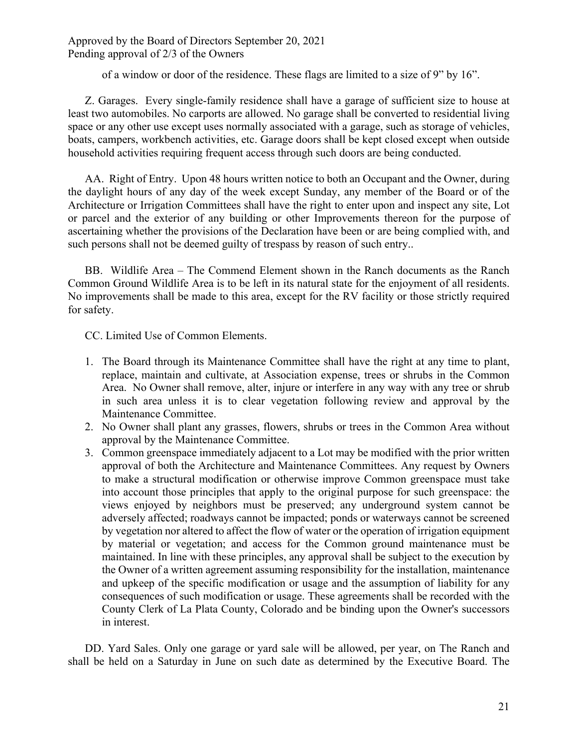of a window or door of the residence. These flags are limited to a size of 9" by 16".

Z. Garages. Every single-family residence shall have a garage of sufficient size to house at least two automobiles. No carports are allowed. No garage shall be converted to residential living space or any other use except uses normally associated with a garage, such as storage of vehicles, boats, campers, workbench activities, etc. Garage doors shall be kept closed except when outside household activities requiring frequent access through such doors are being conducted.

AA. Right of Entry. Upon 48 hours written notice to both an Occupant and the Owner, during the daylight hours of any day of the week except Sunday, any member of the Board or of the Architecture or Irrigation Committees shall have the right to enter upon and inspect any site, Lot or parcel and the exterior of any building or other Improvements thereon for the purpose of ascertaining whether the provisions of the Declaration have been or are being complied with, and such persons shall not be deemed guilty of trespass by reason of such entry..

BB. Wildlife Area – The Commend Element shown in the Ranch documents as the Ranch Common Ground Wildlife Area is to be left in its natural state for the enjoyment of all residents. No improvements shall be made to this area, except for the RV facility or those strictly required for safety.

CC. Limited Use of Common Elements.

- 1. The Board through its Maintenance Committee shall have the right at any time to plant, replace, maintain and cultivate, at Association expense, trees or shrubs in the Common Area. No Owner shall remove, alter, injure or interfere in any way with any tree or shrub in such area unless it is to clear vegetation following review and approval by the Maintenance Committee.
- 2. No Owner shall plant any grasses, flowers, shrubs or trees in the Common Area without approval by the Maintenance Committee.
- 3. Common greenspace immediately adjacent to a Lot may be modified with the prior written approval of both the Architecture and Maintenance Committees. Any request by Owners to make a structural modification or otherwise improve Common greenspace must take into account those principles that apply to the original purpose for such greenspace: the views enjoyed by neighbors must be preserved; any underground system cannot be adversely affected; roadways cannot be impacted; ponds or waterways cannot be screened by vegetation nor altered to affect the flow of water or the operation of irrigation equipment by material or vegetation; and access for the Common ground maintenance must be maintained. In line with these principles, any approval shall be subject to the execution by the Owner of a written agreement assuming responsibility for the installation, maintenance and upkeep of the specific modification or usage and the assumption of liability for any consequences of such modification or usage. These agreements shall be recorded with the County Clerk of La Plata County, Colorado and be binding upon the Owner's successors in interest.

DD. Yard Sales. Only one garage or yard sale will be allowed, per year, on The Ranch and shall be held on a Saturday in June on such date as determined by the Executive Board. The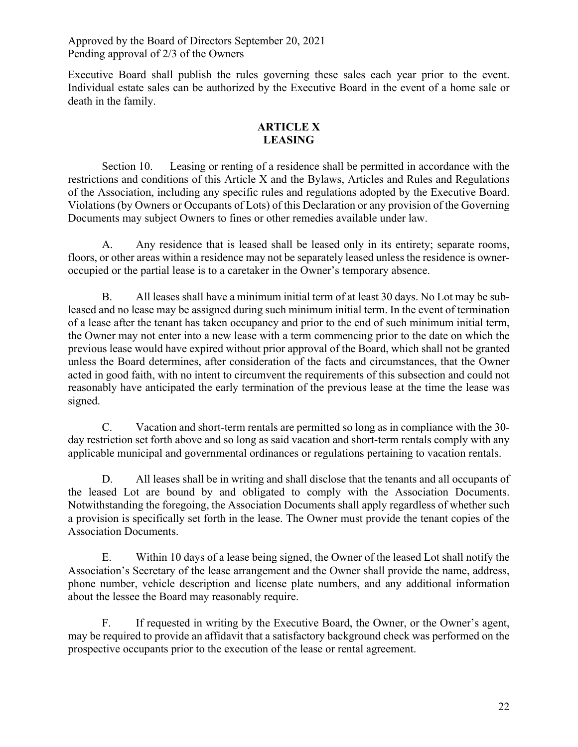Executive Board shall publish the rules governing these sales each year prior to the event. Individual estate sales can be authorized by the Executive Board in the event of a home sale or death in the family.

# **ARTICLE X LEASING**

Section 10. Leasing or renting of a residence shall be permitted in accordance with the restrictions and conditions of this Article X and the Bylaws, Articles and Rules and Regulations of the Association, including any specific rules and regulations adopted by the Executive Board. Violations (by Owners or Occupants of Lots) of this Declaration or any provision of the Governing Documents may subject Owners to fines or other remedies available under law.

A. Any residence that is leased shall be leased only in its entirety; separate rooms, floors, or other areas within a residence may not be separately leased unless the residence is owneroccupied or the partial lease is to a caretaker in the Owner's temporary absence.

B. All leases shall have a minimum initial term of at least 30 days. No Lot may be subleased and no lease may be assigned during such minimum initial term. In the event of termination of a lease after the tenant has taken occupancy and prior to the end of such minimum initial term, the Owner may not enter into a new lease with a term commencing prior to the date on which the previous lease would have expired without prior approval of the Board, which shall not be granted unless the Board determines, after consideration of the facts and circumstances, that the Owner acted in good faith, with no intent to circumvent the requirements of this subsection and could not reasonably have anticipated the early termination of the previous lease at the time the lease was signed.

C. Vacation and short-term rentals are permitted so long as in compliance with the 30 day restriction set forth above and so long as said vacation and short-term rentals comply with any applicable municipal and governmental ordinances or regulations pertaining to vacation rentals.

D. All leases shall be in writing and shall disclose that the tenants and all occupants of the leased Lot are bound by and obligated to comply with the Association Documents. Notwithstanding the foregoing, the Association Documents shall apply regardless of whether such a provision is specifically set forth in the lease. The Owner must provide the tenant copies of the Association Documents.

E. Within 10 days of a lease being signed, the Owner of the leased Lot shall notify the Association's Secretary of the lease arrangement and the Owner shall provide the name, address, phone number, vehicle description and license plate numbers, and any additional information about the lessee the Board may reasonably require.

F. If requested in writing by the Executive Board, the Owner, or the Owner's agent, may be required to provide an affidavit that a satisfactory background check was performed on the prospective occupants prior to the execution of the lease or rental agreement.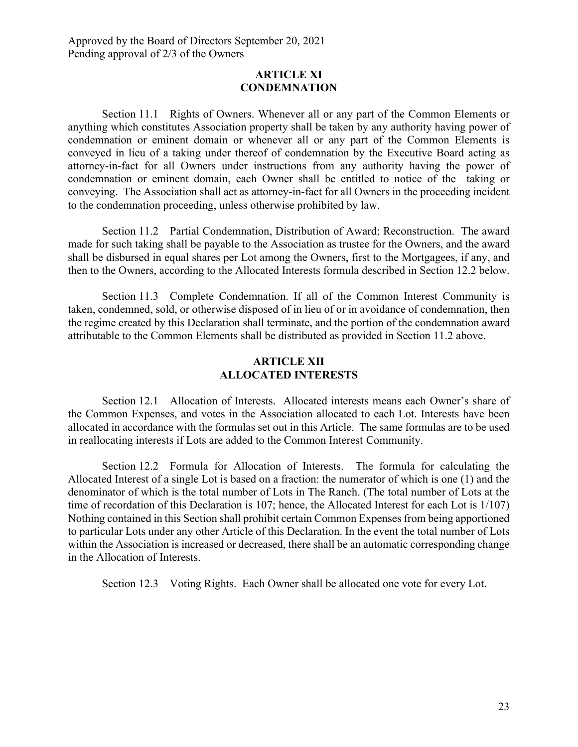#### **ARTICLE XI CONDEMNATION**

Section 11.1 Rights of Owners. Whenever all or any part of the Common Elements or anything which constitutes Association property shall be taken by any authority having power of condemnation or eminent domain or whenever all or any part of the Common Elements is conveyed in lieu of a taking under thereof of condemnation by the Executive Board acting as attorney-in-fact for all Owners under instructions from any authority having the power of condemnation or eminent domain, each Owner shall be entitled to notice of the taking or conveying. The Association shall act as attorney-in-fact for all Owners in the proceeding incident to the condemnation proceeding, unless otherwise prohibited by law.

Section 11.2 Partial Condemnation, Distribution of Award; Reconstruction. The award made for such taking shall be payable to the Association as trustee for the Owners, and the award shall be disbursed in equal shares per Lot among the Owners, first to the Mortgagees, if any, and then to the Owners, according to the Allocated Interests formula described in Section 12.2 below.

Section 11.3 Complete Condemnation. If all of the Common Interest Community is taken, condemned, sold, or otherwise disposed of in lieu of or in avoidance of condemnation, then the regime created by this Declaration shall terminate, and the portion of the condemnation award attributable to the Common Elements shall be distributed as provided in Section 11.2 above.

## **ARTICLE XII ALLOCATED INTERESTS**

Section 12.1 Allocation of Interests. Allocated interests means each Owner's share of the Common Expenses, and votes in the Association allocated to each Lot. Interests have been allocated in accordance with the formulas set out in this Article. The same formulas are to be used in reallocating interests if Lots are added to the Common Interest Community.

Section 12.2 Formula for Allocation of Interests. The formula for calculating the Allocated Interest of a single Lot is based on a fraction: the numerator of which is one (1) and the denominator of which is the total number of Lots in The Ranch. (The total number of Lots at the time of recordation of this Declaration is 107; hence, the Allocated Interest for each Lot is 1/107) Nothing contained in this Section shall prohibit certain Common Expenses from being apportioned to particular Lots under any other Article of this Declaration. In the event the total number of Lots within the Association is increased or decreased, there shall be an automatic corresponding change in the Allocation of Interests.

Section 12.3 Voting Rights. Each Owner shall be allocated one vote for every Lot.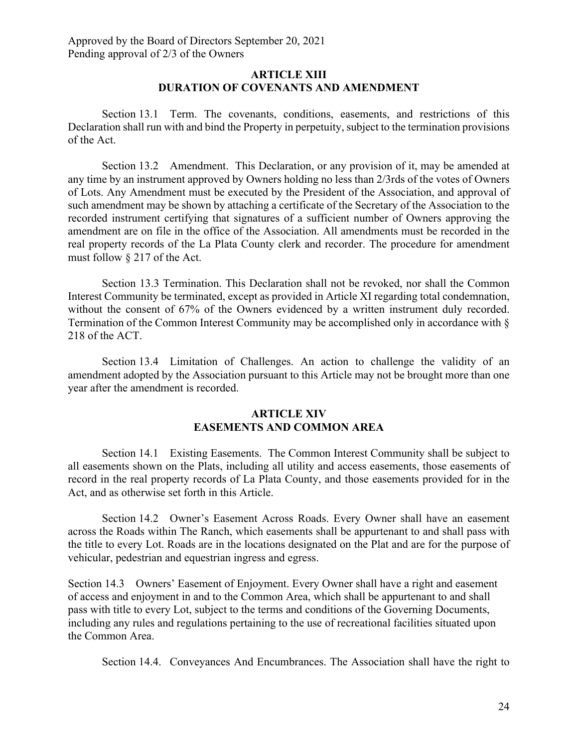#### **ARTICLE XIII DURATION OF COVENANTS AND AMENDMENT**

Section 13.1 Term. The covenants, conditions, easements, and restrictions of this Declaration shall run with and bind the Property in perpetuity, subject to the termination provisions of the Act.

Section 13.2 Amendment. This Declaration, or any provision of it, may be amended at any time by an instrument approved by Owners holding no less than 2/3rds of the votes of Owners of Lots. Any Amendment must be executed by the President of the Association, and approval of such amendment may be shown by attaching a certificate of the Secretary of the Association to the recorded instrument certifying that signatures of a sufficient number of Owners approving the amendment are on file in the office of the Association. All amendments must be recorded in the real property records of the La Plata County clerk and recorder. The procedure for amendment must follow § 217 of the Act.

Section 13.3 Termination. This Declaration shall not be revoked, nor shall the Common Interest Community be terminated, except as provided in Article XI regarding total condemnation, without the consent of 67% of the Owners evidenced by a written instrument duly recorded. Termination of the Common Interest Community may be accomplished only in accordance with § 218 of the ACT.

Section 13.4 Limitation of Challenges. An action to challenge the validity of an amendment adopted by the Association pursuant to this Article may not be brought more than one year after the amendment is recorded.

# **ARTICLE XIV EASEMENTS AND COMMON AREA**

Section 14.1 Existing Easements. The Common Interest Community shall be subject to all easements shown on the Plats, including all utility and access easements, those easements of record in the real property records of La Plata County, and those easements provided for in the Act, and as otherwise set forth in this Article.

Section 14.2 Owner's Easement Across Roads. Every Owner shall have an easement across the Roads within The Ranch, which easements shall be appurtenant to and shall pass with the title to every Lot. Roads are in the locations designated on the Plat and are for the purpose of vehicular, pedestrian and equestrian ingress and egress.

Section 14.3 Owners' Easement of Enjoyment. Every Owner shall have a right and easement of access and enjoyment in and to the Common Area, which shall be appurtenant to and shall pass with title to every Lot, subject to the terms and conditions of the Governing Documents, including any rules and regulations pertaining to the use of recreational facilities situated upon the Common Area.

Section 14.4. Conveyances And Encumbrances. The Association shall have the right to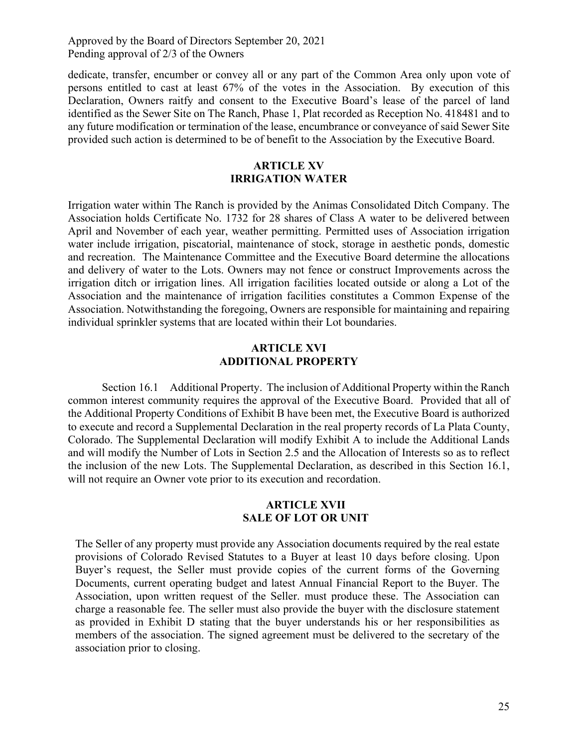dedicate, transfer, encumber or convey all or any part of the Common Area only upon vote of persons entitled to cast at least 67% of the votes in the Association. By execution of this Declaration, Owners raitfy and consent to the Executive Board's lease of the parcel of land identified as the Sewer Site on The Ranch, Phase 1, Plat recorded as Reception No. 418481 and to any future modification or termination of the lease, encumbrance or conveyance of said Sewer Site provided such action is determined to be of benefit to the Association by the Executive Board.

# **ARTICLE XV IRRIGATION WATER**

Irrigation water within The Ranch is provided by the Animas Consolidated Ditch Company. The Association holds Certificate No. 1732 for 28 shares of Class A water to be delivered between April and November of each year, weather permitting. Permitted uses of Association irrigation water include irrigation, piscatorial, maintenance of stock, storage in aesthetic ponds, domestic and recreation. The Maintenance Committee and the Executive Board determine the allocations and delivery of water to the Lots. Owners may not fence or construct Improvements across the irrigation ditch or irrigation lines. All irrigation facilities located outside or along a Lot of the Association and the maintenance of irrigation facilities constitutes a Common Expense of the Association. Notwithstanding the foregoing, Owners are responsible for maintaining and repairing individual sprinkler systems that are located within their Lot boundaries.

#### **ARTICLE XVI ADDITIONAL PROPERTY**

Section 16.1 Additional Property. The inclusion of Additional Property within the Ranch common interest community requires the approval of the Executive Board. Provided that all of the Additional Property Conditions of Exhibit B have been met, the Executive Board is authorized to execute and record a Supplemental Declaration in the real property records of La Plata County, Colorado. The Supplemental Declaration will modify Exhibit A to include the Additional Lands and will modify the Number of Lots in Section 2.5 and the Allocation of Interests so as to reflect the inclusion of the new Lots. The Supplemental Declaration, as described in this Section 16.1, will not require an Owner vote prior to its execution and recordation.

#### **ARTICLE XVII SALE OF LOT OR UNIT**

The Seller of any property must provide any Association documents required by the real estate provisions of Colorado Revised Statutes to a Buyer at least 10 days before closing. Upon Buyer's request, the Seller must provide copies of the current forms of the Governing Documents, current operating budget and latest Annual Financial Report to the Buyer. The Association, upon written request of the Seller. must produce these. The Association can charge a reasonable fee. The seller must also provide the buyer with the disclosure statement as provided in Exhibit D stating that the buyer understands his or her responsibilities as members of the association. The signed agreement must be delivered to the secretary of the association prior to closing.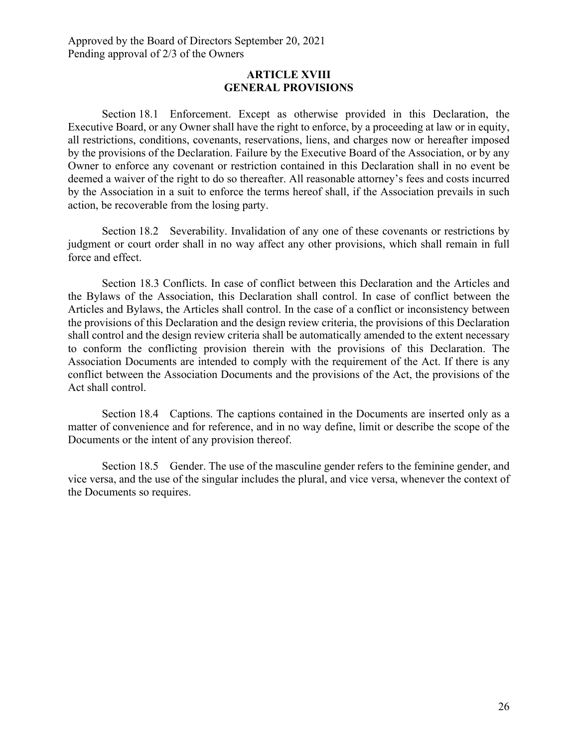#### **ARTICLE XVIII GENERAL PROVISIONS**

Section 18.1 Enforcement. Except as otherwise provided in this Declaration, the Executive Board, or any Owner shall have the right to enforce, by a proceeding at law or in equity, all restrictions, conditions, covenants, reservations, liens, and charges now or hereafter imposed by the provisions of the Declaration. Failure by the Executive Board of the Association, or by any Owner to enforce any covenant or restriction contained in this Declaration shall in no event be deemed a waiver of the right to do so thereafter. All reasonable attorney's fees and costs incurred by the Association in a suit to enforce the terms hereof shall, if the Association prevails in such action, be recoverable from the losing party.

Section 18.2 Severability. Invalidation of any one of these covenants or restrictions by judgment or court order shall in no way affect any other provisions, which shall remain in full force and effect.

Section 18.3 Conflicts. In case of conflict between this Declaration and the Articles and the Bylaws of the Association, this Declaration shall control. In case of conflict between the Articles and Bylaws, the Articles shall control. In the case of a conflict or inconsistency between the provisions of this Declaration and the design review criteria, the provisions of this Declaration shall control and the design review criteria shall be automatically amended to the extent necessary to conform the conflicting provision therein with the provisions of this Declaration. The Association Documents are intended to comply with the requirement of the Act. If there is any conflict between the Association Documents and the provisions of the Act, the provisions of the Act shall control.

Section 18.4 Captions. The captions contained in the Documents are inserted only as a matter of convenience and for reference, and in no way define, limit or describe the scope of the Documents or the intent of any provision thereof.

Section 18.5 Gender. The use of the masculine gender refers to the feminine gender, and vice versa, and the use of the singular includes the plural, and vice versa, whenever the context of the Documents so requires.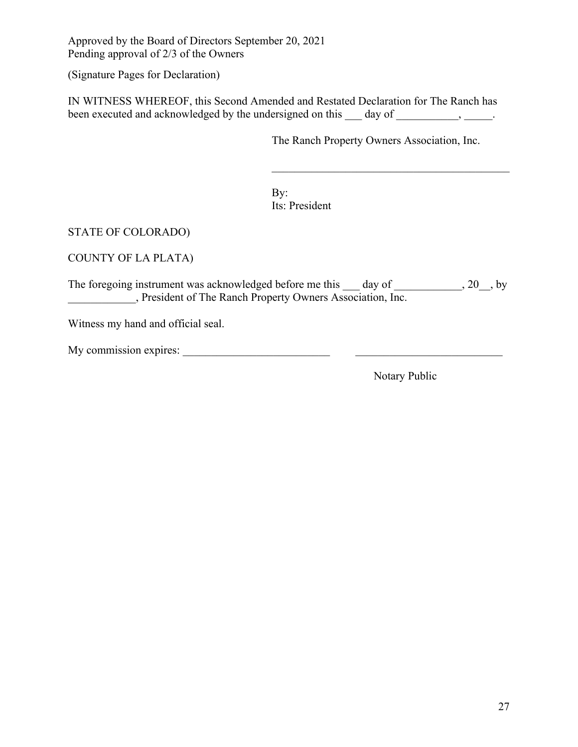(Signature Pages for Declaration)

IN WITNESS WHEREOF, this Second Amended and Restated Declaration for The Ranch has been executed and acknowledged by the undersigned on this \_\_\_ day of \_\_\_\_\_\_\_\_\_, \_\_\_\_\_.

The Ranch Property Owners Association, Inc.

By: Its: President

STATE OF COLORADO)

COUNTY OF LA PLATA)

The foregoing instrument was acknowledged before me this  $\_\_\_$  day of  $\_\_\_\_\_$ , 20, by **LETTER ISLE EXECUTE:** President of The Ranch Property Owners Association, Inc.

Witness my hand and official seal.

| My commission expires: |  |
|------------------------|--|
|------------------------|--|

Notary Public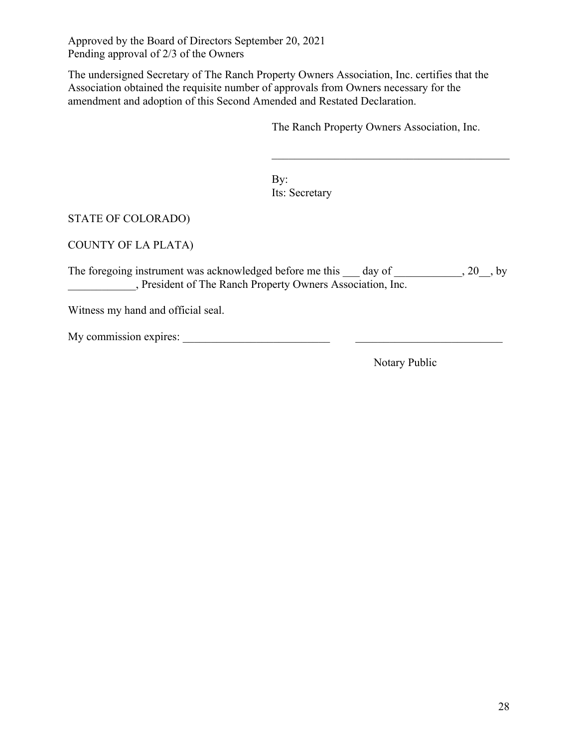The undersigned Secretary of The Ranch Property Owners Association, Inc. certifies that the Association obtained the requisite number of approvals from Owners necessary for the amendment and adoption of this Second Amended and Restated Declaration.

The Ranch Property Owners Association, Inc.

By: Its: Secretary

# STATE OF COLORADO)

COUNTY OF LA PLATA)

The foregoing instrument was acknowledged before me this  $\_\_\_$  day of  $\_\_\_\_\_$ , 20, by \_\_\_\_\_\_\_\_\_\_\_\_, President of The Ranch Property Owners Association, Inc.

Witness my hand and official seal.

My commission expires: \_\_\_\_\_\_\_\_\_\_\_\_\_\_\_\_\_\_\_\_\_\_\_\_\_\_ \_\_\_\_\_\_\_\_\_\_\_\_\_\_\_\_\_\_\_\_\_\_\_\_\_\_

Notary Public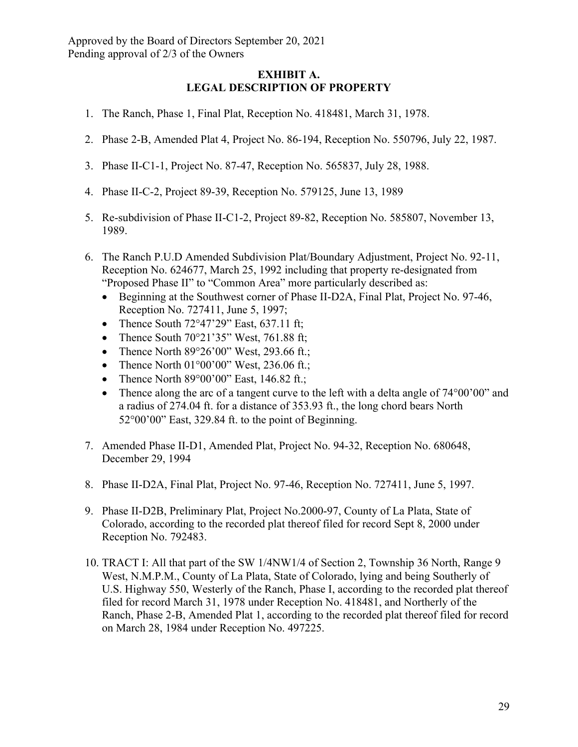# **EXHIBIT A. LEGAL DESCRIPTION OF PROPERTY**

- 1. The Ranch, Phase 1, Final Plat, Reception No. 418481, March 31, 1978.
- 2. Phase 2-B, Amended Plat 4, Project No. 86-194, Reception No. 550796, July 22, 1987.
- 3. Phase II-C1-1, Project No. 87-47, Reception No. 565837, July 28, 1988.
- 4. Phase II-C-2, Project 89-39, Reception No. 579125, June 13, 1989
- 5. Re-subdivision of Phase II-C1-2, Project 89-82, Reception No. 585807, November 13, 1989.
- 6. The Ranch P.U.D Amended Subdivision Plat/Boundary Adjustment, Project No. 92-11, Reception No. 624677, March 25, 1992 including that property re-designated from "Proposed Phase II" to "Common Area" more particularly described as:
	- Beginning at the Southwest corner of Phase II-D2A, Final Plat, Project No. 97-46, Reception No. 727411, June 5, 1997;
	- Thence South  $72^{\circ}47'29''$  East, 637.11 ft;
	- Thence South  $70^{\circ}21'35''$  West,  $761.88$  ft;
	- Thence North  $89^{\circ}26'00''$  West, 293.66 ft.;
	- Thence North  $01^{\circ}00'00''$  West, 236.06 ft.;
	- Thence North  $89^{\circ}00'00''$  East, 146.82 ft.;
	- Thence along the arc of a tangent curve to the left with a delta angle of 74°00'00" and a radius of 274.04 ft. for a distance of 353.93 ft., the long chord bears North 52°00'00" East, 329.84 ft. to the point of Beginning.
- 7. Amended Phase II-D1, Amended Plat, Project No. 94-32, Reception No. 680648, December 29, 1994
- 8. Phase II-D2A, Final Plat, Project No. 97-46, Reception No. 727411, June 5, 1997.
- 9. Phase II-D2B, Preliminary Plat, Project No.2000-97, County of La Plata, State of Colorado, according to the recorded plat thereof filed for record Sept 8, 2000 under Reception No. 792483.
- 10. TRACT I: All that part of the SW 1/4NW1/4 of Section 2, Township 36 North, Range 9 West, N.M.P.M., County of La Plata, State of Colorado, lying and being Southerly of U.S. Highway 550, Westerly of the Ranch, Phase I, according to the recorded plat thereof filed for record March 31, 1978 under Reception No. 418481, and Northerly of the Ranch, Phase 2-B, Amended Plat 1, according to the recorded plat thereof filed for record on March 28, 1984 under Reception No. 497225.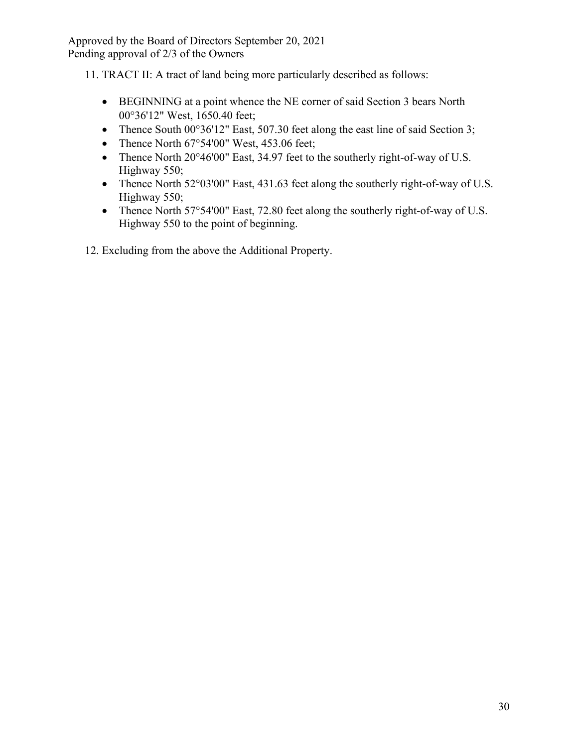11. TRACT II: A tract of land being more particularly described as follows:

- BEGINNING at a point whence the NE corner of said Section 3 bears North 00°36'12" West, 1650.40 feet;
- Thence South 00°36'12" East, 507.30 feet along the east line of said Section 3;
- Thence North 67°54'00" West, 453.06 feet;
- Thence North 20°46'00" East, 34.97 feet to the southerly right-of-way of U.S. Highway 550;
- Thence North 52°03'00" East, 431.63 feet along the southerly right-of-way of U.S. Highway 550;
- Thence North 57°54'00" East, 72.80 feet along the southerly right-of-way of U.S. Highway 550 to the point of beginning.
- 12. Excluding from the above the Additional Property.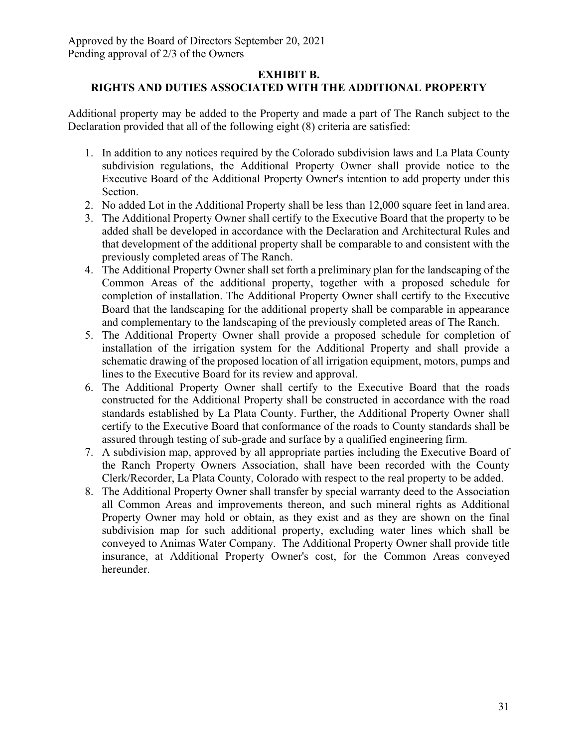# **EXHIBIT B.**

# **RIGHTS AND DUTIES ASSOCIATED WITH THE ADDITIONAL PROPERTY**

Additional property may be added to the Property and made a part of The Ranch subject to the Declaration provided that all of the following eight (8) criteria are satisfied:

- 1. In addition to any notices required by the Colorado subdivision laws and La Plata County subdivision regulations, the Additional Property Owner shall provide notice to the Executive Board of the Additional Property Owner's intention to add property under this Section.
- 2. No added Lot in the Additional Property shall be less than 12,000 square feet in land area.
- 3. The Additional Property Owner shall certify to the Executive Board that the property to be added shall be developed in accordance with the Declaration and Architectural Rules and that development of the additional property shall be comparable to and consistent with the previously completed areas of The Ranch.
- 4. The Additional Property Owner shall set forth a preliminary plan for the landscaping of the Common Areas of the additional property, together with a proposed schedule for completion of installation. The Additional Property Owner shall certify to the Executive Board that the landscaping for the additional property shall be comparable in appearance and complementary to the landscaping of the previously completed areas of The Ranch.
- 5. The Additional Property Owner shall provide a proposed schedule for completion of installation of the irrigation system for the Additional Property and shall provide a schematic drawing of the proposed location of all irrigation equipment, motors, pumps and lines to the Executive Board for its review and approval.
- 6. The Additional Property Owner shall certify to the Executive Board that the roads constructed for the Additional Property shall be constructed in accordance with the road standards established by La Plata County. Further, the Additional Property Owner shall certify to the Executive Board that conformance of the roads to County standards shall be assured through testing of sub-grade and surface by a qualified engineering firm.
- 7. A subdivision map, approved by all appropriate parties including the Executive Board of the Ranch Property Owners Association, shall have been recorded with the County Clerk/Recorder, La Plata County, Colorado with respect to the real property to be added.
- 8. The Additional Property Owner shall transfer by special warranty deed to the Association all Common Areas and improvements thereon, and such mineral rights as Additional Property Owner may hold or obtain, as they exist and as they are shown on the final subdivision map for such additional property, excluding water lines which shall be conveyed to Animas Water Company. The Additional Property Owner shall provide title insurance, at Additional Property Owner's cost, for the Common Areas conveyed hereunder.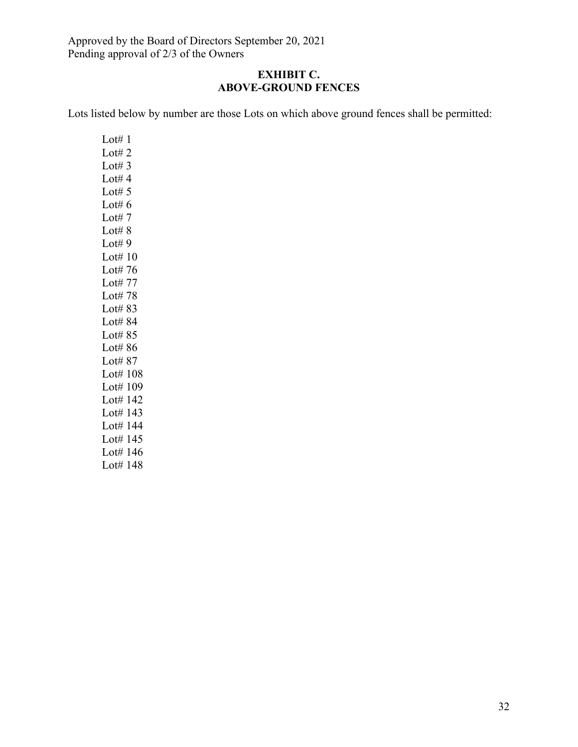# **EXHIBIT C. ABOVE-GROUND FENCES**

Lots listed below by number are those Lots on which above ground fences shall be permitted:

Lot $#1$ Lot# $2$ Lot# $3$ Lot# $4$ Lot# $5$ Lot# $6$ Lot# $7$ Lot $# 8$ Lot# $9$ Lot# 10 Lot# 76 Lot# 77 Lot# 78 Lot# 83 Lot# 84 Lot# 85 Lot# 86 Lot# 87 Lot# 108 Lot# 109 Lot# 142 Lot# 143 Lot# 144 Lot# 145 Lot# 146 Lot# 148